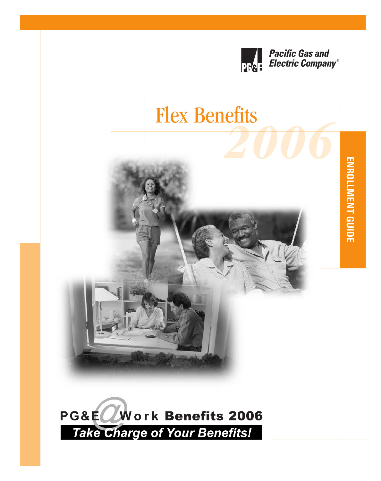

# **Flex Benefits**

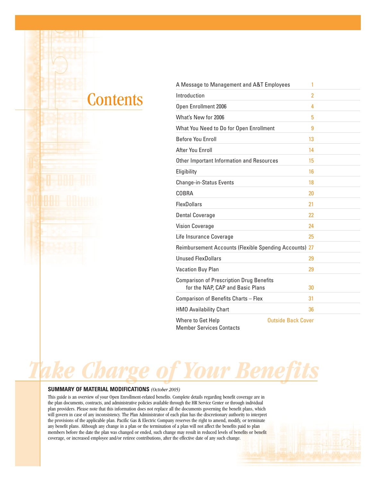# **Contents**

| A Message to Management and A&T Employees                                           | 1                         |
|-------------------------------------------------------------------------------------|---------------------------|
| Introduction                                                                        | $\overline{2}$            |
| Open Enrollment 2006                                                                | 4                         |
| What's New for 2006                                                                 | 5                         |
| What You Need to Do for Open Enrollment                                             | 9                         |
| <b>Before You Enroll</b>                                                            | 13                        |
| After You Enroll                                                                    | 14                        |
| Other Important Information and Resources                                           | 15                        |
| Eligibility                                                                         | 16                        |
| <b>Change-in-Status Events</b>                                                      | 18                        |
| COBRA                                                                               | 20                        |
| <b>FlexDollars</b>                                                                  | 21                        |
| <b>Dental Coverage</b>                                                              | 22                        |
| <b>Vision Coverage</b>                                                              | 24                        |
| Life Insurance Coverage                                                             | 25                        |
| Reimbursement Accounts (Flexible Spending Accounts) 27                              |                           |
| <b>Unused FlexDollars</b>                                                           | 29                        |
| Vacation Buy Plan                                                                   | 29                        |
| <b>Comparison of Prescription Drug Benefits</b><br>for the NAP, CAP and Basic Plans | 30                        |
| Comparison of Benefits Charts - Flex                                                | 31                        |
| <b>HMO Availability Chart</b>                                                       | 36                        |
| Where to Get Help<br><b>Member Services Contacts</b>                                | <b>Outside Back Cover</b> |



#### **SUMMARY OF MATERIAL MODIFICATIONS** *(October 2005)*

This guide is an overview of your Open Enrollment-related benefits. Complete details regarding benefit coverage are in the plan documents, contracts, and administrative policies available through the HR Service Center or through individual plan providers. Please note that this information does not replace all the documents governing the benefit plans, which will govern in case of any inconsistency. The Plan Administrator of each plan has the discretionary authority to interpret the provisions of the applicable plan. Pacific Gas & Electric Company reserves the right to amend, modify, or terminate any benefit plans. Although any change in a plan or the termination of a plan will not affect the benefits paid to plan members before the date the plan was changed or ended, such change may result in reduced levels of benefits or benefit coverage, or increased employee and/or retiree contributions, after the effective date of any such change.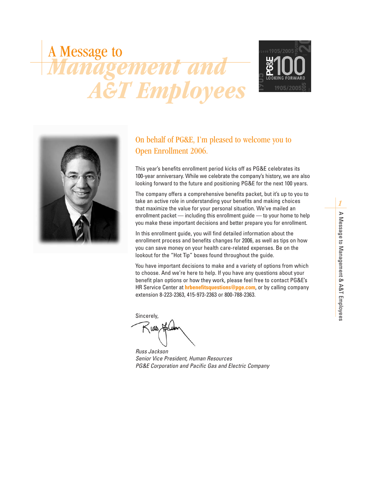# *Management and A&T Employees* A Message to





#### On behalf of PG&E, I'm pleased to welcome you to Open Enrollment 2006.

This year's benefits enrollment period kicks off as PG&E celebrates its 100-year anniversary. While we celebrate the company's history, we are also looking forward to the future and positioning PG&E for the next 100 years.

The company offers a comprehensive benefits packet, but it's up to you to take an active role in understanding your benefits and making choices that maximize the value for your personal situation. We've mailed an enrollment packet — including this enrollment guide — to your home to help you make these important decisions and better prepare you for enrollment.

In this enrollment guide, you will find detailed information about the enrollment process and benefits changes for 2006, as well as tips on how you can save money on your health care-related expenses. Be on the lookout for the "Hot Tip" boxes found throughout the guide.

You have important decisions to make and a variety of options from which to choose. And we're here to help. If you have any questions about your benefit plan options or how they work, please feel free to contact PG&E's HR Service Center at **hrbenefitsquestions@pge.com**, or by calling company extension 8-223-2363, 415-973-2363 or 800-788-2363.

Sincerely,

T MAD

*Russ Jackson Senior Vice President, Human Resources PG&E Corporation and Pacific Gas and Electric Company*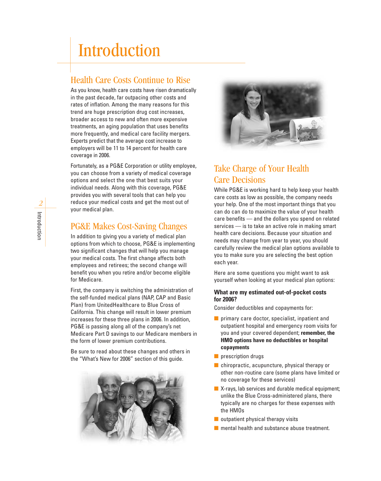#### Health Care Costs Continue to Rise

As you know, health care costs have risen dramatically in the past decade, far outpacing other costs and rates of inflation. Among the many reasons for this trend are huge prescription drug cost increases, broader access to new and often more expensive treatments, an aging population that uses benefits more frequently, and medical care facility mergers. Experts predict that the average cost increase to employers will be 11 to 14 percent for health care coverage in 2006.

Fortunately, as a PG&E Corporation or utility employee, you can choose from a variety of medical coverage options and select the one that best suits your individual needs. Along with this coverage, PG&E provides you with several tools that can help you reduce your medical costs and get the most out of your medical plan.

#### PG&E Makes Cost-Saving Changes

In addition to giving you a variety of medical plan options from which to choose, PG&E is implementing two significant changes that will help you manage your medical costs. The first change affects both employees and retirees; the second change will benefit you when you retire and/or become eligible for Medicare.

First, the company is switching the administration of the self-funded medical plans (NAP, CAP and Basic Plan) from UnitedHealthcare to Blue Cross of California. This change will result in lower premium increases for these three plans in 2006. In addition, PG&E is passing along all of the company's net Medicare Part D savings to our Medicare members in the form of lower premium contributions.

Be sure to read about these changes and others in the "What's New for 2006" section of this guide.





### Take Charge of Your Health Care Decisions

While PG&E is working hard to help keep your health care costs as low as possible, the company needs your help. One of the most important things that you can do can do to maximize the value of your health care benefits — and the dollars you spend on related services — is to take an active role in making smart health care decisions. Because your situation and needs may change from year to year, you should carefully review the medical plan options available to you to make sure you are selecting the best option each year.

Here are some questions you might want to ask yourself when looking at your medical plan options:

#### **What are my estimated out-of-pocket costs for 2006?**

Consider deductibles and copayments for:

- primary care doctor, specialist, inpatient and outpatient hospital and emergency room visits for you and your covered dependent; **remember, the HMO options have no deductibles or hospital copayments**
- prescription drugs
- $\blacksquare$  chiropractic, acupuncture, physical therapy or other non-routine care (some plans have limited or no coverage for these services)
- $\blacksquare$  X-rays, lab services and durable medical equipment; unlike the Blue Cross-administered plans, there typically are no charges for these expenses with the HMOs
- $\blacksquare$  outpatient physical therapy visits
- mental health and substance abuse treatment.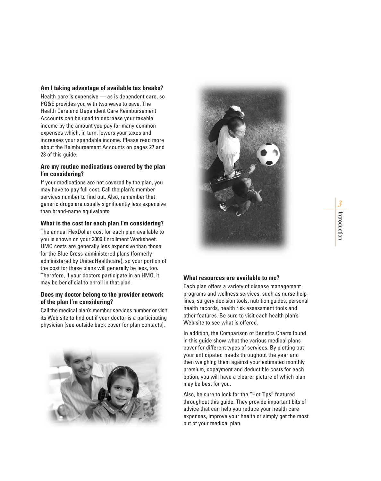#### **Am I taking advantage of available tax breaks?**

Health care is expensive — as is dependent care, so PG&E provides you with two ways to save. The Health Care and Dependent Care Reimbursement Accounts can be used to decrease your taxable income by the amount you pay for many common expenses which, in turn, lowers your taxes and increases your spendable income. Please read more about the Reimbursement Accounts on pages 27 and 28 of this guide.

#### **Are my routine medications covered by the plan I'm considering?**

If your medications are not covered by the plan, you may have to pay full cost. Call the plan's member services number to find out. Also, remember that generic drugs are usually significantly less expensive than brand-name equivalents.

#### **What is the cost for each plan I'm considering?**

The annual FlexDollar cost for each plan available to you is shown on your 2006 Enrollment Worksheet. HMO costs are generally less expensive than those for the Blue Cross-administered plans (formerly administered by UnitedHealthcare), so your portion of the cost for these plans will generally be less, too. Therefore, if your doctors participate in an HMO, it may be beneficial to enroll in that plan.

#### **Does my doctor belong to the provider network of the plan I'm considering?**

Call the medical plan's member services number or visit its Web site to find out if your doctor is a participating physician (see outside back cover for plan contacts).





#### **What resources are available to me?**

Each plan offers a variety of disease management programs and wellness services, such as nurse helplines, surgery decision tools, nutrition guides, personal health records, health risk assessment tools and other features. Be sure to visit each health plan's Web site to see what is offered.

In addition, the Comparison of Benefits Charts found in this guide show what the various medical plans cover for different types of services. By plotting out your anticipated needs throughout the year and then weighing them against your estimated monthly premium, copayment and deductible costs for each option, you will have a clearer picture of which plan may be best for you.

Also, be sure to look for the "Hot Tips" featured throughout this guide. They provide important bits of advice that can help you reduce your health care expenses, improve your health or simply get the most out of your medical plan.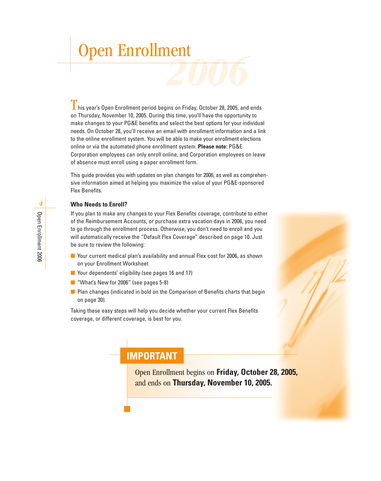# *2006* Open Enrollment

 $\perp$  his year's Open Enrollment period begins on Friday, October 28, 2005, and ends on Thursday, November 10, 2005. During this time, you'll have the opportunity to make changes to your PG&E benefits and select the best options for your individual needs. On October 28, you'll receive an email with enrollment information and a link to the online enrollment system. You will be able to make your enrollment elections online or via the automated phone enrollment system. **Please note:** PG&E Corporation employees can only enroll online, and Corporation employees on leave of absence must enroll using a paper enrollment form.

This guide provides you with updates on plan changes for 2006, as well as comprehensive information aimed at helping you maximize the value of your PG&E-sponsored Flex Benefits.

#### **Who Needs to Enroll?**

If you plan to make any changes to your Flex Benefits coverage, contribute to either of the Reimbursement Accounts, or purchase extra vacation days in 2006, you need to go through the enrollment process. Otherwise, you don't need to enroll and you will automatically receive the "Default Flex Coverage" described on page 10. Just be sure to review the following:

- Your current medical plan's availability and annual Flex cost for 2006, as shown on your Enrollment Worksheet
- Your dependents' eligibility (see pages 16 and 17)
- "What's New for 2006" (see pages 5-8)
- Plan changes (indicated in bold on the Comparison of Benefits charts that begin on page 30).

Taking these easy steps will help you decide whether your current Flex Benefits coverage, or different coverage, is best for you.

### **IMPORTANT**

Open Enrollment begins on **Friday, October 28, 2005,** and ends on **Thursday, November 10, 2005.**

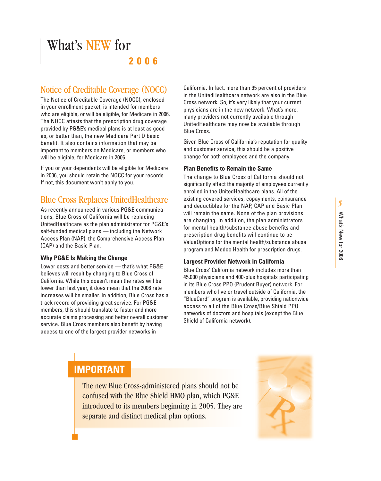# **2006**

## Notice of Creditable Coverage (NOCC)

The Notice of Creditable Coverage (NOCC), enclosed in your enrollment packet, is intended for members who are eligible, or will be eligible, for Medicare in 2006. The NOCC attests that the prescription drug coverage provided by PG&E's medical plans is at least as good as, or better than, the new Medicare Part D basic benefit. It also contains information that may be important to members on Medicare, or members who will be eligible, for Medicare in 2006.

If you or your dependents will be eligible for Medicare in 2006, you should retain the NOCC for your records. If not, this document won't apply to you.

## Blue Cross Replaces UnitedHealthcare

As recently announced in various PG&E communications, Blue Cross of California will be replacing UnitedHealthcare as the plan administrator for PG&E's self-funded medical plans — including the Network Access Plan (NAP), the Comprehensive Access Plan (CAP) and the Basic Plan.

#### **Why PG&E Is Making the Change**

Lower costs and better service — that's what PG&E believes will result by changing to Blue Cross of California. While this doesn't mean the rates will be lower than last year, it does mean that the 2006 rate increases will be smaller. In addition, Blue Cross has a track record of providing great service. For PG&E members, this should translate to faster and more accurate claims processing and better overall customer service. Blue Cross members also benefit by having access to one of the largest provider networks in

California. In fact, more than 95 percent of providers in the UnitedHealthcare network are also in the Blue Cross network. So, it's very likely that your current physicians are in the new network. What's more, many providers not currently available through UnitedHealthcare may now be available through Blue Cross.

Given Blue Cross of California's reputation for quality and customer service, this should be a positive change for both employees and the company.

#### **Plan Benefits to Remain the Same**

The change to Blue Cross of California should not significantly affect the majority of employees currently enrolled in the UnitedHealthcare plans. All of the existing covered services, copayments, coinsurance and deductibles for the NAP, CAP and Basic Plan will remain the same. None of the plan provisions are changing. In addition, the plan administrators for mental health/substance abuse benefits and prescription drug benefits will continue to be ValueOptions for the mental health/substance abuse program and Medco Health for prescription drugs.

#### **Largest Provider Network in California**

Blue Cross' California network includes more than 45,000 physicians and 400-plus hospitals participating in its Blue Cross PPO (Prudent Buyer) network. For members who live or travel outside of California, the "BlueCard" program is available, providing nationwide access to all of the Blue Cross/Blue Shield PPO networks of doctors and hospitals (except the Blue Shield of California network).

## **IMPORTANT**

The new Blue Cross-administered plans should not be confused with the Blue Shield HMO plan, which PG&E introduced to its members beginning in 2005. They are separate and distinct medical plan options.

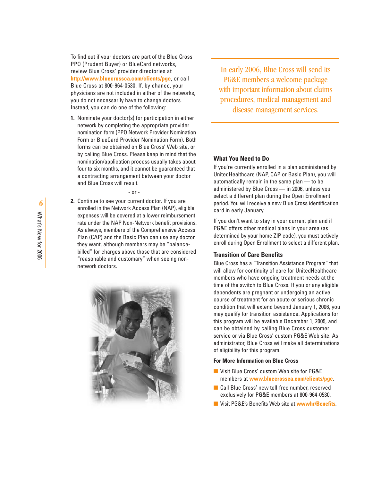To find out if your doctors are part of the Blue Cross PPO (Prudent Buyer) or BlueCard networks, review Blue Cross' provider directories at **http://www.bluecrossca.com/clients/pge**, or call Blue Cross at 800-964-0530. If, by chance, your physicians are not included in either of the networks, you do not necessarily have to change doctors. Instead, you can do one of the following:

**1.** Nominate your doctor(s) for participation in either network by completing the appropriate provider nomination form (PPO Network Provider Nomination Form or BlueCard Provider Nomination Form). Both forms can be obtained on Blue Cross' Web site, or by calling Blue Cross. Please keep in mind that the nomination/application process usually takes about four to six months, and it cannot be guaranteed that a contracting arrangement between your doctor and Blue Cross will result.

- or -

**2.** Continue to see your current doctor. If you are enrolled in the Network Access Plan (NAP), eligible expenses will be covered at a lower reimbursement rate under the NAP Non-Network benefit provisions. As always, members of the Comprehensive Access Plan (CAP) and the Basic Plan can use any doctor they want, although members may be "balancebilled" for charges above those that are considered "reasonable and customary" when seeing nonnetwork doctors.



In early 2006, Blue Cross will send its PG&E members a welcome package with important information about claims procedures, medical management and disease management services.

#### **What You Need to Do**

If you're currently enrolled in a plan administered by UnitedHealthcare (NAP, CAP or Basic Plan), you will automatically remain in the same plan — to be administered by Blue Cross — in 2006, unless you select a different plan during the Open Enrollment period. You will receive a new Blue Cross identification card in early January.

If you don't want to stay in your current plan and if PG&E offers other medical plans in your area (as determined by your home ZIP code), you must actively enroll during Open Enrollment to select a different plan.

#### **Transition of Care Benefits**

Blue Cross has a "Transition Assistance Program" that will allow for continuity of care for UnitedHealthcare members who have ongoing treatment needs at the time of the switch to Blue Cross. If you or any eligible dependents are pregnant or undergoing an active course of treatment for an acute or serious chronic condition that will extend beyond January 1, 2006, you may qualify for transition assistance. Applications for this program will be available December 1, 2005, and can be obtained by calling Blue Cross customer service or via Blue Cross' custom PG&E Web site. As administrator, Blue Cross will make all determinations of eligibility for this program.

#### **For More Information on Blue Cross**

- Visit Blue Cross' custom Web site for PG&E members at **www.bluecrossca.com/clients/pge**.
- Call Blue Cross' new toll-free number, reserved exclusively for PG&E members at 800-964-0530.
- Visit PG&E's Benefits Web site at **wwwhr/Benefits**.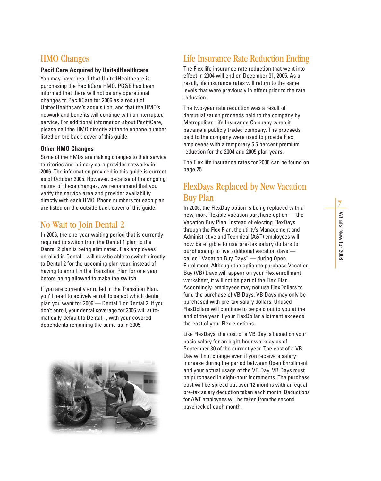# *7*What's New for 2006 What's New for 2006

#### HMO Changes

#### **PacifiCare Acquired by UnitedHealthcare**

You may have heard that UnitedHealthcare is purchasing the PacifiCare HMO. PG&E has been informed that there will not be any operational changes to PacifiCare for 2006 as a result of UnitedHealthcare's acquisition, and that the HMO's network and benefits will continue with uninterrupted service. For additional information about PacifiCare, please call the HMO directly at the telephone number listed on the back cover of this guide.

#### **Other HMO Changes**

Some of the HMOs are making changes to their service territories and primary care provider networks in 2006. The information provided in this guide is current as of October 2005. However, because of the ongoing nature of these changes, we recommend that you verify the service area and provider availability directly with each HMO. Phone numbers for each plan are listed on the outside back cover of this guide.

#### No Wait to Join Dental 2

In 2006, the one-year waiting period that is currently required to switch from the Dental 1 plan to the Dental 2 plan is being eliminated. Flex employees enrolled in Dental 1 will now be able to switch directly to Dental 2 for the upcoming plan year, instead of having to enroll in the Transition Plan for one year before being allowed to make the switch.

If you are currently enrolled in the Transition Plan, you'll need to actively enroll to select which dental plan you want for 2006 — Dental 1 or Dental 2. If you don't enroll, your dental coverage for 2006 will automatically default to Dental 1, with your covered dependents remaining the same as in 2005.



#### Life Insurance Rate Reduction Ending

The Flex life insurance rate reduction that went into effect in 2004 will end on December 31, 2005. As a result, life insurance rates will return to the same levels that were previously in effect prior to the rate reduction.

The two-year rate reduction was a result of demutualization proceeds paid to the company by Metropolitan Life Insurance Company when it became a publicly traded company. The proceeds paid to the company were used to provide Flex employees with a temporary 5.5 percent premium reduction for the 2004 and 2005 plan years.

The Flex life insurance rates for 2006 can be found on page 25.

#### FlexDays Replaced by New Vacation Buy Plan

In 2006, the FlexDay option is being replaced with a new, more flexible vacation purchase option — the Vacation Buy Plan. Instead of electing FlexDays through the Flex Plan, the utility's Management and Administrative and Technical (A&T) employees will now be eligible to use pre-tax salary dollars to purchase up to five additional vacation days called "Vacation Buy Days" — during Open Enrollment. Although the option to purchase Vacation Buy (VB) Days will appear on your Flex enrollment worksheet, it will not be part of the Flex Plan. Accordingly, employees may not use FlexDollars to fund the purchase of VB Days; VB Days may only be purchased with pre-tax salary dollars. Unused FlexDollars will continue to be paid out to you at the end of the year if your FlexDollar allotment exceeds the cost of your Flex elections.

Like FlexDays, the cost of a VB Day is based on your basic salary for an eight-hour workday as of September 30 of the current year. The cost of a VB Day will not change even if you receive a salary increase during the period between Open Enrollment and your actual usage of the VB Day. VB Days must be purchased in eight-hour increments. The purchase cost will be spread out over 12 months with an equal pre-tax salary deduction taken each month. Deductions for A&T employees will be taken from the second paycheck of each month.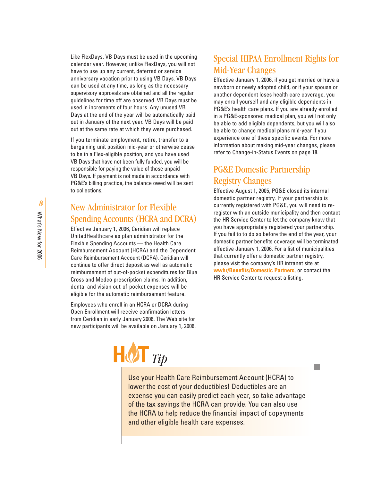Like FlexDays, VB Days must be used in the upcoming calendar year. However, unlike FlexDays, you will not have to use up any current, deferred or service anniversary vacation prior to using VB Days. VB Days can be used at any time, as long as the necessary supervisory approvals are obtained and all the regular guidelines for time off are observed. VB Days must be used in increments of four hours. Any unused VB Days at the end of the year will be automatically paid out in January of the next year. VB Days will be paid out at the same rate at which they were purchased.

If you terminate employment, retire, transfer to a bargaining unit position mid-year or otherwise cease to be in a Flex-eligible position, and you have used VB Days that have not been fully funded, you will be VB Days. If payment is not made in accordance with PG&E's billing practice, the balance owed will be sent to collections. responsible for paying the value of those unpaid

### New Administrator for Flexible Spending Accounts (HCRA and DCRA)

Effective January 1, 2006, Ceridian will replace UnitedHealthcare as plan administrator for the Flexible Spending Accounts — the Health Care Reimbursement Account (HCRA) and the Dependent Care Reimbursement Account (DCRA). Ceridian will continue to offer direct deposit as well as automatic reimbursement of out-of-pocket expenditures for Blue Cross and Medco prescription claims. In addition, dental and vision out-of-pocket expenses will be eligible for the automatic reimbursement feature.

Employees who enroll in an HCRA or DCRA during Open Enrollment will receive confirmation letters from Ceridian in early January 2006. The Web site for new participants will be available on January 1, 2006.

## Special HIPAA Enrollment Rights for Mid-Year Changes

Effective January 1, 2006, if you get married or have a newborn or newly adopted child, or if your spouse or another dependent loses health care coverage, you may enroll yourself and any eligible dependents in PG&E's health care plans. If you are already enrolled in a PG&E-sponsored medical plan, you will not only be able to add eligible dependents, but you will also be able to change medical plans mid-year if you experience one of these specific events. For more information about making mid-year changes, please refer to Change-in-Status Events on page 18.

#### PG&E Domestic Partnership Registry Changes

Effective August 1, 2005, PG&E closed its internal domestic partner registry. If your partnership is currently registered with PG&E, you will need to reregister with an outside municipality and then contact the HR Service Center to let the company know that you have appropriately registered your partnership. If you fail to to do so before the end of the year, your domestic partner benefits coverage will be terminated effective January 1, 2006. For a list of municipalities that currently offer a domestic partner registry, please visit the company's HR intranet site at **wwhr/Benefits/Domestic Partners**, or contact the HR Service Center to request a listing.

Г.



Use your Health Care Reimbursement Account (HCRA) to lower the cost of your deductibles! Deductibles are an expense you can easily predict each year, so take advantage of the tax savings the HCRA can provide. You can also use the HCRA to help reduce the financial impact of copayments and other eligible health care expenses.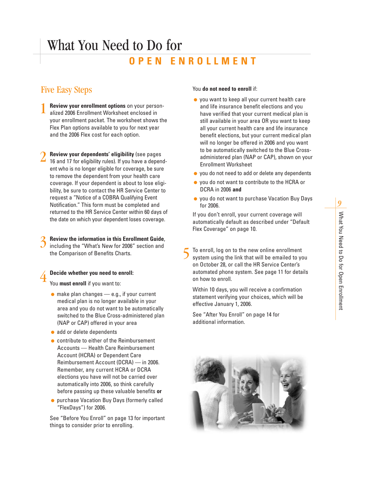## **OPEN ENROLLMENT**

## Five Easy Steps

**Review your enrollment options** on your personalized 2006 Enrollment Worksheet enclosed in your enrollment packet. The worksheet shows the Flex Plan options available to you for next year and the 2006 Flex cost for each option. 1

**Review your dependents' eligibility** (see pages 16 and 17 for eligibility rules). If you have a dependent who is no longer eligible for coverage, be sure to remove the dependent from your health care coverage. If your dependent is about to lose eligibility, be sure to contact the HR Service Center to request a "Notice of a COBRA Qualifying Event Notification." This form must be completed and returned to the HR Service Center within 60 days of the date on which your dependent loses coverage. 2

**Review the information in this Enrollment Guide**, including the "What's New for 2006" section and the Comparison of Benefits Charts. 3

#### **Decide whether you need to enroll:**

You **must enroll** if you want to:

4

- $\bullet$  make plan changes  $-$  e.g., if your current medical plan is no longer available in your area and you do not want to be automatically switched to the Blue Cross-administered plan (NAP or CAP) offered in your area
- add or delete dependents
- contribute to either of the Reimbursement Accounts — Health Care Reimbursement Account (HCRA) or Dependent Care Reimbursement Account (DCRA) — in 2006. Remember, any current HCRA or DCRA elections you have will not be carried over automatically into 2006, so think carefully before passing up these valuable benefits **or**
- purchase Vacation Buy Days (formerly called "FlexDays") for 2006.

See "Before You Enroll" on page 13 for important things to consider prior to enrolling.

#### You **do not need to enroll** if:

- you want to keep all your current health care and life insurance benefit elections and you have verified that your current medical plan is still available in your area OR you want to keep all your current health care and life insurance benefit elections, but your current medical plan will no longer be offered in 2006 and you want to be automatically switched to the Blue Crossadministered plan (NAP or CAP), shown on your Enrollment Worksheet
- you do not need to add or delete any dependents
- you do not want to contribute to the HCRA or DCRA in 2006 **and**
- you do not want to purchase Vacation Buy Days for 2006.

If you don't enroll, your current coverage will automatically default as described under "Default Flex Coverage" on page 10.

5 To enroll, log on to the new online enrollment system using the link that will be emailed to you on October 28, or call the HR Service Center's automated phone system. See page 11 for details on how to enroll.

Within 10 days, you will receive a confirmation statement verifying your choices, which will be effective January 1, 2006.

See "After You Enroll" on page 14 for additional information.

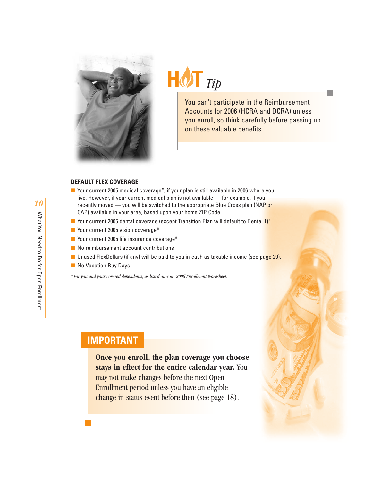

# $H \circ T$ *Tip*

You can't participate in the Reimbursement Accounts for 2006 (HCRA and DCRA) unless you enroll, so think carefully before passing up on these valuable benefits.

#### **DEFAULT FLEX COVERAGE**

- Your current 2005 medical coverage\*, if your plan is still available in 2006 where you live. However, if your current medical plan is not available — for example, if you recently moved — you will be switched to the appropriate Blue Cross plan (NAP or CAP) available in your area, based upon your home ZIP Code
- Your current 2005 dental coverage (except Transition Plan will default to Dental  $1)$ <sup>\*</sup>
- Your current 2005 vision coverage\*
- Your current 2005 life insurance coverage<sup>\*</sup>
- No reimbursement account contributions
- Unused FlexDollars (if any) will be paid to you in cash as taxable income (see page 29).
- No Vacation Buy Days

*\* For you and your covered dependents, as listed on your 2006 Enrollment Worksheet.*

## **IMPORTANT**

**Once you enroll, the plan coverage you choose stays in effect for the entire calendar year.** You may not make changes before the next Open Enrollment period unless you have an eligible change-in-status event before then (see page 18).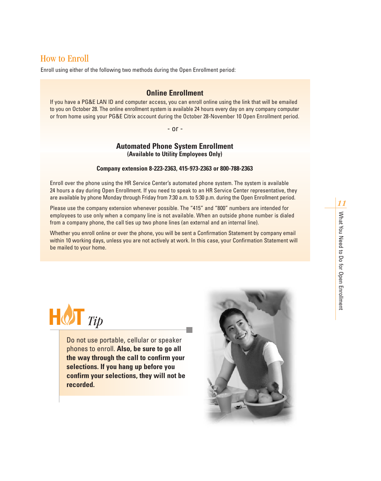#### How to Enroll

Enroll using either of the following two methods during the Open Enrollment period:

#### **Online Enrollment**

If you have a PG&E LAN ID and computer access, you can enroll online using the link that will be emailed to you on October 28. The online enrollment system is available 24 hours every day on any company computer or from home using your PG&E Citrix account during the October 28-November 10 Open Enrollment period.

- or -

#### **Automated Phone System Enrollment (Available to Utility Employees Only)**

#### **Company extension 8-223-2363, 415-973-2363 or 800-788-2363**

Enroll over the phone using the HR Service Center's automated phone system. The system is available 24 hours a day during Open Enrollment. If you need to speak to an HR Service Center representative, they are available by phone Monday through Friday from 7:30 a.m. to 5:30 p.m. during the Open Enrollment period.

Please use the company extension whenever possible. The "415" and "800" numbers are intended for employees to use only when a company line is not available. When an outside phone number is dialed from a company phone, the call ties up two phone lines (an external and an internal line).

Whether you enroll online or over the phone, you will be sent a Confirmation Statement by company email within 10 working days, unless you are not actively at work. In this case, your Confirmation Statement will be mailed to your home.



Do not use portable, cellular or speaker phones to enroll. **Also, be sure to go all the way through the call to confirm your selections. If you hang up before you confirm your selections, they will not be recorded.**

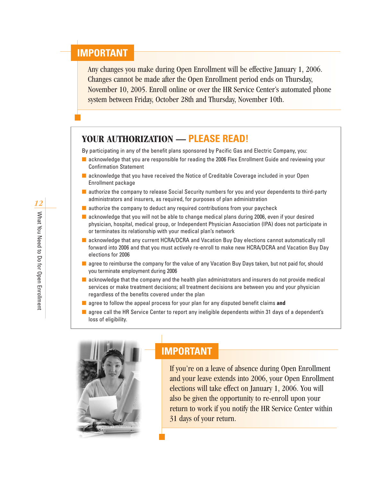#### **IMPORTANT**

Any changes you make during Open Enrollment will be effective January 1, 2006. Changes cannot be made after the Open Enrollment period ends on Thursday, November 10, 2005. Enroll online or over the HR Service Center's automated phone system between Friday, October 28th and Thursday, November 10th.

#### **YOUR AUTHORIZATION — PLEASE READ!**

By participating in any of the benefit plans sponsored by Pacific Gas and Electric Company, you:

- acknowledge that you are responsible for reading the 2006 Flex Enrollment Guide and reviewing your Confirmation Statement
- acknowledge that you have received the Notice of Creditable Coverage included in your Open Enrollment package
- authorize the company to release Social Security numbers for you and your dependents to third-party administrators and insurers, as required, for purposes of plan administration
- authorize the company to deduct any required contributions from your paycheck
- acknowledge that you will not be able to change medical plans during 2006, even if your desired physician, hospital, medical group, or Independent Physician Association (IPA) does not participate in or terminates its relationship with your medical plan's network
- acknowledge that any current HCRA/DCRA and Vacation Buy Day elections cannot automatically roll forward into 2006 and that you must actively re-enroll to make new HCRA/DCRA and Vacation Buy Day elections for 2006
- agree to reimburse the company for the value of any Vacation Buy Days taken, but not paid for, should you terminate employment during 2006
- acknowledge that the company and the health plan administrators and insurers do not provide medical services or make treatment decisions; all treatment decisions are between you and your physician regardless of the benefits covered under the plan
- agree to follow the appeal process for your plan for any disputed benefit claims and
- agree call the HR Service Center to report any ineligible dependents within 31 days of a dependent's loss of eligibility.



### **IMPORTANT**

If you're on a leave of absence during Open Enrollment and your leave extends into 2006, your Open Enrollment elections will take effect on January 1, 2006. You will also be given the opportunity to re-enroll upon your return to work if you notify the HR Service Center within 31 days of your return.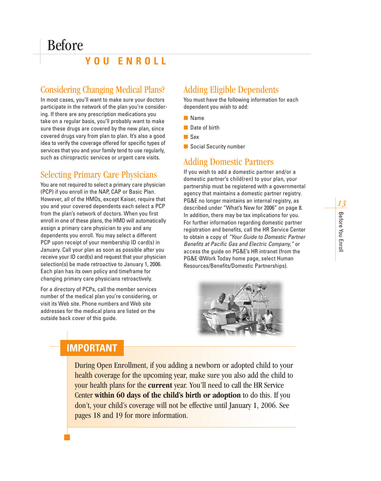# **YOU ENROLL**

### Considering Changing Medical Plans?

In most cases, you'll want to make sure your doctors participate in the network of the plan you're considering. If there are any prescription medications you take on a regular basis, you'll probably want to make sure these drugs are covered by the new plan, since covered drugs vary from plan to plan. It's also a good idea to verify the coverage offered for specific types of services that you and your family tend to use regularly, such as chiropractic services or urgent care visits.

### Selecting Primary Care Physicians

You are not required to select a primary care physician (PCP) if you enroll in the NAP, CAP or Basic Plan. However, all of the HMOs, except Kaiser, require that you and your covered dependents each select a PCP from the plan's network of doctors. When you first enroll in one of these plans, the HMO will automatically assign a primary care physician to you and any dependents you enroll. You may select a different PCP upon receipt of your membership ID card(s) in January. Call your plan as soon as possible after you receive your ID card(s) and request that your physician selection(s) be made retroactive to January 1, 2006. Each plan has its own policy and timeframe for changing primary care physicians retroactively.

For a directory of PCPs, call the member services number of the medical plan you're considering, or visit its Web site. Phone numbers and Web site addresses for the medical plans are listed on the outside back cover of this guide.

## Adding Eligible Dependents

You must have the following information for each dependent you wish to add:

- Name
- Date of birth
- Sex
- Social Security number

#### Adding Domestic Partners

If you wish to add a domestic partner and/or a domestic partner's child(ren) to your plan, your partnership must be registered with a governmental agency that maintains a domestic partner registry. PG&E no longer maintains an internal registry, as described under "What's New for 2006" on page 8. In addition, there may be tax implications for you. For further information regarding domestic partner registration and benefits, call the HR Service Center to obtain a copy of *"Your Guide to Domestic Partner Benefits at Pacific Gas and Electric Company,"* or access the guide on PG&E's HR intranet (from the PG&E @Work Today home page, select Human Resources/Benefits/Domestic Partnerships).



# **IMPORTANT**

During Open Enrollment, if you adding a newborn or adopted child to your health coverage for the upcoming year, make sure you also add the child to your health plans for the **current** year. You'll need to call the HR Service Center **within 60 days of the child's birth or adoption** to do this. If you don't, your child's coverage will not be effective until January 1, 2006. See pages 18 and 19 for more information.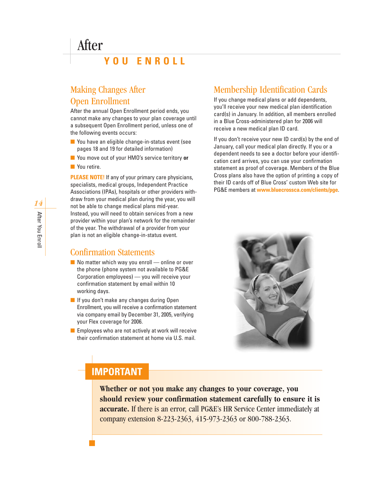**YOU ENROLL**

#### Making Changes After Open Enrollment

After

After the annual Open Enrollment period ends, you cannot make any changes to your plan coverage until a subsequent Open Enrollment period, unless one of the following events occurs:

- You have an eligible change-in-status event (see pages 18 and 19 for detailed information)
- You move out of your HMO's service territory or
- You retire.

**PLEASE NOTE!** If any of your primary care physicians, specialists, medical groups, Independent Practice Associations (IPAs), hospitals or other providers withdraw from your medical plan during the year, you will not be able to change medical plans mid-year. Instead, you will need to obtain services from a new provider within your plan's network for the remainder of the year. The withdrawal of a provider from your plan is not an eligible change-in-status event.

#### Confirmation Statements

- No matter which way you enroll online or over the phone (phone system not available to PG&E Corporation employees) — you will receive your confirmation statement by email within 10 working days.
- If you don't make any changes during Open Enrollment, you will receive a confirmation statement via company email by December 31, 2005, verifying your Flex coverage for 2006.
- $\blacksquare$  Employees who are not actively at work will receive their confirmation statement at home via U.S. mail.

#### Membership Identification Cards

If you change medical plans or add dependents, you'll receive your new medical plan identification card(s) in January. In addition, all members enrolled in a Blue Cross-administered plan for 2006 will receive a new medical plan ID card.

If you don't receive your new ID card(s) by the end of January, call your medical plan directly. If you or a dependent needs to see a doctor before your identification card arrives, you can use your confirmation statement as proof of coverage. Members of the Blue Cross plans also have the option of printing a copy of their ID cards off of Blue Cross' custom Web site for PG&E members at **www.bluecrossca.com/clients/pge**.



# **IMPORTANT**

**Whether or not you make any changes to your coverage, you should review your confirmation statement carefully to ensure it is accurate.** If there is an error, call PG&E's HR Service Center immediately at company extension 8-223-2363, 415-973-2363 or 800-788-2363.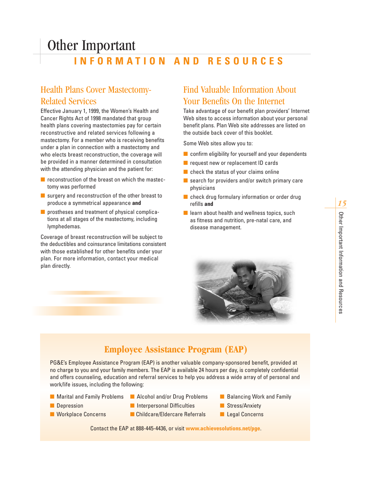# Other Important **INFORMATION AND RESOURCES**

## Health Plans Cover Mastectomy-Related Services

Effective January 1, 1999, the Women's Health and Cancer Rights Act of 1998 mandated that group health plans covering mastectomies pay for certain reconstructive and related services following a mastectomy. For a member who is receiving benefits under a plan in connection with a mastectomy and who elects breast reconstruction, the coverage will be provided in a manner determined in consultation with the attending physician and the patient for:

- reconstruction of the breast on which the mastectomy was performed
- surgery and reconstruction of the other breast to produce a symmetrical appearance **and**
- prostheses and treatment of physical complications at all stages of the mastectomy, including lymphedemas.

Coverage of breast reconstruction will be subject to the deductibles and coinsurance limitations consistent with those established for other benefits under your plan. For more information, contact your medical plan directly.

#### Find Valuable Information About Your Benefits On the Internet

Take advantage of our benefit plan providers' Internet Web sites to access information about your personal benefit plans. Plan Web site addresses are listed on the outside back cover of this booklet.

Some Web sites allow you to:

- confirm eligibility for yourself and your dependents
- request new or replacement ID cards
- $\blacksquare$  check the status of your claims online
- $\blacksquare$  search for providers and/or switch primary care physicians
- check drug formulary information or order drug refills **and**
- learn about health and wellness topics, such as fitness and nutrition, pre-natal care, and disease management.



### **Employee Assistance Program (EAP)**

PG&E's Employee Assistance Program (EAP) is another valuable company-sponsored benefit, provided at no charge to you and your family members. The EAP is available 24 hours per day, is completely confidential and offers counseling, education and referral services to help you address a wide array of of personal and work/life issues, including the following:

- Marital and Family Problems Alcohol and/or Drug Problems Balancing Work and Family
	-
- 
- 
- Depression Interpersonal Difficulties Stress/Anxiety
- Workplace Concerns Childcare/Eldercare Referrals Legal Concerns
- 
- -

*15*

Contact the EAP at 888-445-4436, or visit **www.achievesolutions.net/pge**.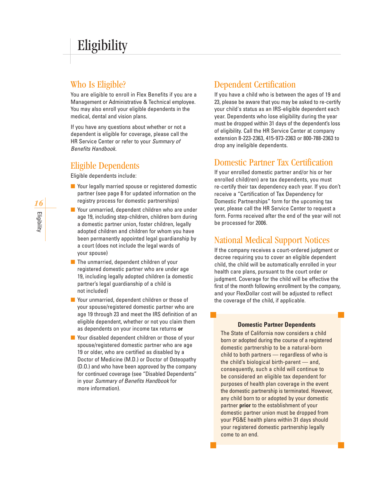#### Who Is Eligible?

You are eligible to enroll in Flex Benefits if you are a Management or Administrative & Technical employee. You may also enroll your eligible dependents in the medical, dental and vision plans.

If you have any questions about whether or not a dependent is eligible for coverage, please call the HR Service Center or refer to your *Summary of Benefits Handbook*.

#### Eligible Dependents

Eligible dependents include:

- Your legally married spouse or registered domestic partner (see page 8 for updated information on the registry process for domestic partnerships)
- Your unmarried, dependent children who are under age 19, including step-children, children born during a domestic partner union, foster children, legally adopted children and children for whom you have been permanently appointed legal guardianship by a court (does not include the legal wards of your spouse)
- The unmarried, dependent children of your registered domestic partner who are under age 19, including legally adopted children (a domestic partner's legal guardianship of a child is not included)
- Your unmarried, dependent children or those of your spouse/registered domestic partner who are age 19 through 23 and meet the IRS definition of an eligible dependent, whether or not you claim them as dependents on your income tax returns **or**
- Your disabled dependent children or those of your spouse/registered domestic partner who are age 19 or older, who are certified as disabled by a Doctor of Medicine (M.D.) or Doctor of Osteopathy (D.O.) and who have been approved by the company for continued coverage (see "Disabled Dependents" in your *Summary of Benefits Handbook* for more information).

#### Dependent Certification

If you have a child who is between the ages of 19 and 23, please be aware that you may be asked to re-certify your child's status as an IRS-eligible dependent each year. Dependents who lose eligibility during the year must be dropped within 31 days of the dependent's loss of eligibility. Call the HR Service Center at company extension 8-223-2363, 415-973-2363 or 800-788-2363 to drop any ineligible dependents.

#### Domestic Partner Tax Certification

If your enrolled domestic partner and/or his or her enrolled child(ren) are tax dependents, you must re-certify their tax dependency each year. If you don't receive a "Certification of Tax Dependency for Domestic Partnerships" form for the upcoming tax year, please call the HR Service Center to request a form. Forms received after the end of the year will not be processed for 2006.

#### National Medical Support Notices

If the company receives a court-ordered judgment or decree requiring you to cover an eligible dependent child, the child will be automatically enrolled in your health care plans, pursuant to the court order or judgment. Coverage for the child will be effective the first of the month following enrollment by the company, and your FlexDollar cost will be adjusted to reflect the coverage of the child, if applicable.

#### **Domestic Partner Dependents**

The State of California now considers a child born or adopted during the course of a registered domestic partnership to be a natural-born child to both partners — regardless of who is the child's biological birth-parent — and, consequently, such a child will continue to be considered an eligible tax dependent for purposes of health plan coverage in the event the domestic partnership is terminated. However, any child born to or adopted by your domestic partner **prior** to the establishment of your domestic partner union must be dropped from your PG&E health plans within 31 days should your registered domestic partnership legally come to an end.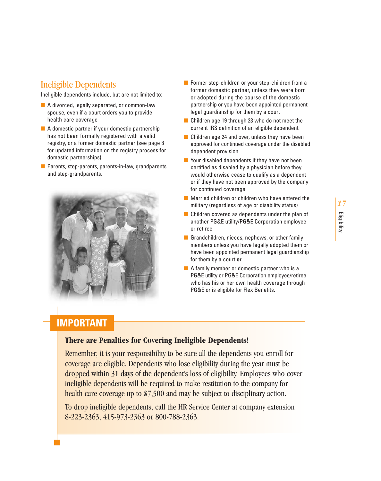#### Ineligible Dependents

Ineligible dependents include, but are not limited to:

- A divorced, legally separated, or common-law spouse, even if a court orders you to provide health care coverage
- A domestic partner if your domestic partnership has not been formally registered with a valid registry, or a former domestic partner (see page 8 for updated information on the registry process for domestic partnerships)
- Parents, step-parents, parents-in-law, grandparents and step-grandparents.



- Former step-children or your step-children from a former domestic partner, unless they were born or adopted during the course of the domestic partnership or you have been appointed permanent legal guardianship for them by a court
- Children age 19 through 23 who do not meet the current IRS definition of an eligible dependent
- Children age 24 and over, unless they have been approved for continued coverage under the disabled dependent provision
- Your disabled dependents if they have not been certified as disabled by a physician before they would otherwise cease to qualify as a dependent or if they have not been approved by the company for continued coverage
- Married children or children who have entered the military (regardless of age or disability status)
- Children covered as dependents under the plan of another PG&E utility/PG&E Corporation employee or retiree
- Grandchildren, nieces, nephews, or other family members unless you have legally adopted them or have been appointed permanent legal guardianship for them by a court **or**
- A family member or domestic partner who is a PG&E utility or PG&E Corporation employee/retiree who has his or her own health coverage through PG&E or is eligible for Flex Benefits.

### **IMPORTANT**

#### **There are Penalties for Covering Ineligible Dependents!**

Remember, it is your responsibility to be sure all the dependents you enroll for coverage are eligible. Dependents who lose eligibility during the year must be dropped within 31 days of the dependent's loss of eligibility. Employees who cover ineligible dependents will be required to make restitution to the company for health care coverage up to \$7,500 and may be subject to disciplinary action.

To drop ineligible dependents, call the HR Service Center at company extension 8-223-2363, 415-973-2363 or 800-788-2363.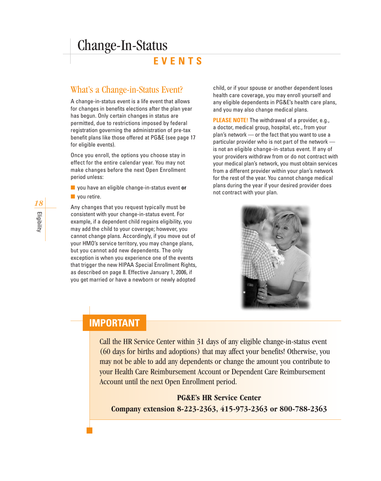# Change-In-Status

#### **EVENTS**

#### What's a Change-in-Status Event?

A change-in-status event is a life event that allows for changes in benefits elections after the plan year has begun. Only certain changes in status are permitted, due to restrictions imposed by federal registration governing the administration of pre-tax benefit plans like those offered at PG&E (see page 17 for eligible events).

Once you enroll, the options you choose stay in effect for the entire calendar year. You may not make changes before the next Open Enrollment period unless:

- you have an eligible change-in-status event or
- you retire.

Any changes that you request typically must be consistent with your change-in-status event. For example, if a dependent child regains eligibility, you may add the child to your coverage; however, you cannot change plans. Accordingly, if you move out of your HMO's service territory, you may change plans, but you cannot add new dependents. The only exception is when you experience one of the events that trigger the new HIPAA Special Enrollment Rights, as described on page 8. Effective January 1, 2006, if you get married or have a newborn or newly adopted

child, or if your spouse or another dependent loses health care coverage, you may enroll yourself and any eligible dependents in PG&E's health care plans, and you may also change medical plans.

**PLEASE NOTE!** The withdrawal of a provider, e.g., a doctor, medical group, hospital, etc., from your plan's network — or the fact that you want to use a particular provider who is not part of the network is not an eligible change-in-status event. If any of your providers withdraw from or do not contract with your medical plan's network, you must obtain services from a different provider within your plan's network for the rest of the year. You cannot change medical plans during the year if your desired provider does not contract with your plan.



# **IMPORTANT**

Call the HR Service Center within 31 days of any eligible change-in-status event (60 days for births and adoptions) that may affect your benefits! Otherwise, you may not be able to add any dependents or change the amount you contribute to your Health Care Reimbursement Account or Dependent Care Reimbursement Account until the next Open Enrollment period.

**PG&E's HR Service Center Company extension 8-223-2363, 415-973-2363 or 800-788-2363**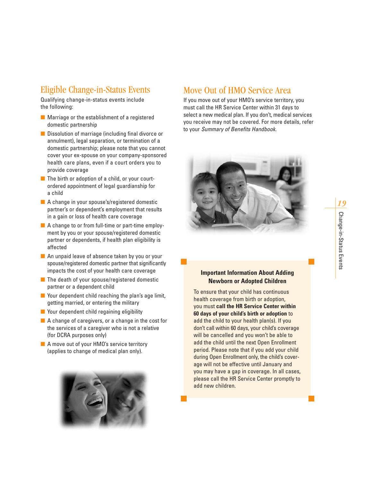#### Eligible Change-in-Status Events

Qualifying change-in-status events include the following:

- Marriage or the establishment of a registered domestic partnership
- Dissolution of marriage (including final divorce or annulment), legal separation, or termination of a domestic partnership; please note that you cannot cover your ex-spouse on your company-sponsored health care plans, even if a court orders you to provide coverage
- The birth or adoption of a child, or your courtordered appointment of legal guardianship for a child
- A change in your spouse's/registered domestic partner's or dependent's employment that results in a gain or loss of health care coverage
- A change to or from full-time or part-time employment by you or your spouse/registered domestic partner or dependents, if health plan eligibility is affected
- An unpaid leave of absence taken by you or your spouse/registered domestic partner that significantly impacts the cost of your health care coverage
- The death of your spouse/registered domestic partner or a dependent child
- $\blacksquare$  Your dependent child reaching the plan's age limit, getting married, or entering the military
- Your dependent child regaining eligibility
- A change of caregivers, or a change in the cost for the services of a caregiver who is not a relative (for DCRA purposes only)
- A move out of your HMO's service territory (applies to change of medical plan only).



#### Move Out of HMO Service Area

If you move out of your HMO's service territory, you must call the HR Service Center within 31 days to select a new medical plan. If you don't, medical services you receive may not be covered. For more details, refer to your *Summary of Benefits Handbook*.



#### **Important Information About Adding Newborn or Adopted Children**

To ensure that your child has continuous health coverage from birth or adoption, you must **call the HR Service Center within 60 days of your child's birth or adoption** to add the child to your health plan(s). If you don't call within 60 days, your child's coverage will be cancelled and you won't be able to add the child until the next Open Enrollment period. Please note that if you add your child during Open Enrollment only, the child's coverage will not be effective until January and you may have a gap in coverage. In all cases, please call the HR Service Center promptly to add new children.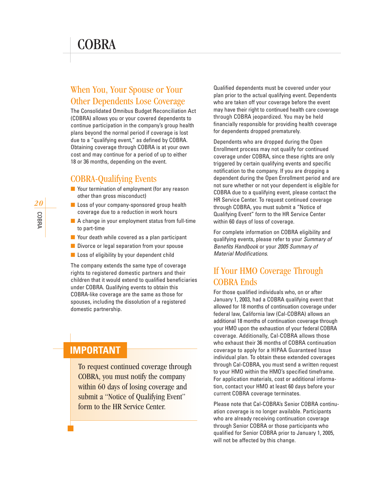# COBRA

#### When You, Your Spouse or Your Other Dependents Lose Coverage

The Consolidated Omnibus Budget Reconciliation Act (COBRA) allows you or your covered dependents to continue participation in the company's group health plans beyond the normal period if coverage is lost due to a "qualifying event," as defined by COBRA. Obtaining coverage through COBRA is at your own cost and may continue for a period of up to either 18 or 36 months, depending on the event.

#### COBRA-Qualifying Events

- Your termination of employment (for any reason other than gross misconduct)
- Loss of your company-sponsored group health coverage due to a reduction in work hours
- A change in your employment status from full-time to part-time
- Your death while covered as a plan participant
- Divorce or legal separation from your spouse
- Loss of eligibility by your dependent child

The company extends the same type of coverage rights to registered domestic partners and their children that it would extend to qualified beneficiaries under COBRA. Qualifying events to obtain this COBRA-like coverage are the same as those for spouses, including the dissolution of a registered domestic partnership.

# **IMPORTANT**

To request continued coverage through COBRA, you must notify the company within 60 days of losing coverage and submit a "Notice of Qualifying Event" form to the HR Service Center.

Qualified dependents must be covered under your plan prior to the actual qualifying event. Dependents who are taken off your coverage before the event may have their right to continued health care coverage through COBRA jeopardized. You may be held financially responsible for providing health coverage for dependents dropped prematurely.

Dependents who are dropped during the Open Enrollment process may not qualify for continued coverage under COBRA, since these rights are only triggered by certain qualifying events and specific notification to the company. If you are dropping a dependent during the Open Enrollment period and are not sure whether or not your dependent is eligible for COBRA due to a qualifying event, please contact the HR Service Center. To request continued coverage through COBRA, you must submit a "Notice of Qualifying Event" form to the HR Service Center within 60 days of loss of coverage.

For complete information on COBRA eligibility and qualifying events, please refer to your *Summary of Benefits Handbook* or your *2005 Summary of Material Modifications*.

#### If Your HMO Coverage Through COBRA Ends

For those qualified individuals who, on or after January 1, 2003, had a COBRA qualifying event that allowed for 18 months of continuation coverage under federal law, California law (Cal-COBRA) allows an additional 18 months of continuation coverage through your HMO upon the exhaustion of your federal COBRA coverage. Additionally, Cal-COBRA allows those who exhaust their 36 months of COBRA continuation coverage to apply for a HIPAA Guaranteed Issue individual plan. To obtain these extended coverages through Cal-COBRA, you must send a written request to your HMO within the HMO's specified timeframe. For application materials, cost or additional information, contact your HMO at least 60 days before your current COBRA coverage terminates.

Please note that Cal-COBRA's Senior COBRA continuation coverage is no longer available. Participants who are already receiving continuation coverage through Senior COBRA or those participants who qualified for Senior COBRA prior to January 1, 2005, will not be affected by this change.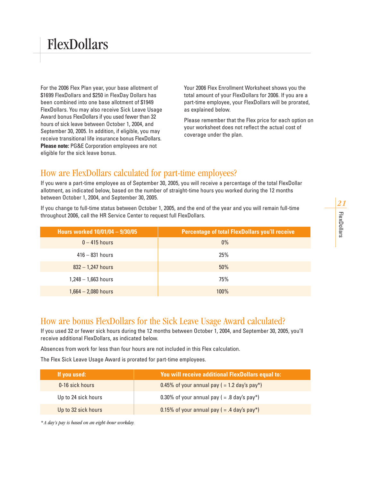For the 2006 Flex Plan year, your base allotment of \$1699 FlexDollars and \$250 in FlexDay Dollars has been combined into one base allotment of \$1949 FlexDollars. You may also receive Sick Leave Usage Award bonus FlexDollars if you used fewer than 32 hours of sick leave between October 1, 2004, and September 30, 2005. In addition, if eligible, you may receive transitional life insurance bonus FlexDollars. **Please note:** PG&E Corporation employees are not eligible for the sick leave bonus.

Your 2006 Flex Enrollment Worksheet shows you the total amount of your FlexDollars for 2006. If you are a part-time employee, your FlexDollars will be prorated, as explained below.

Please remember that the Flex price for each option on your worksheet does not reflect the actual cost of coverage under the plan.

## How are FlexDollars calculated for part-time employees?

If you were a part-time employee as of September 30, 2005, you will receive a percentage of the total FlexDollar allotment, as indicated below, based on the number of straight-time hours you worked during the 12 months between October 1, 2004, and September 30, 2005.

If you change to full-time status between October 1, 2005, and the end of the year and you will remain full-time throughout 2006, call the HR Service Center to request full FlexDollars.

| Hours worked $10/01/04 - 9/30/05$ | <b>Percentage of total FlexDollars you'll receive</b> |
|-----------------------------------|-------------------------------------------------------|
| $0 - 415$ hours                   | $0\%$                                                 |
| $416 - 831$ hours                 | 25%                                                   |
| $832 - 1,247$ hours               | 50%                                                   |
| $1,248 - 1,663$ hours             | 75%                                                   |
| $1,664 - 2,080$ hours             | 100%                                                  |

#### How are bonus FlexDollars for the Sick Leave Usage Award calculated?

If you used 32 or fewer sick hours during the 12 months between October 1, 2004, and September 30, 2005, you'll receive additional FlexDollars, as indicated below.

Absences from work for less than four hours are not included in this Flex calculation.

The Flex Sick Leave Usage Award is prorated for part-time employees.

| If you used:        | You will receive additional FlexDollars equal to: |
|---------------------|---------------------------------------------------|
| 0-16 sick hours     | 0.45% of your annual pay ( = 1.2 day's pay*)      |
| Up to 24 sick hours | 0.30% of your annual pay ( = .8 day's pay*)       |
| Up to 32 sick hours | 0.15% of your annual pay ( = .4 day's pay*)       |

*\* A day's pay is based on an eight-hour workday.*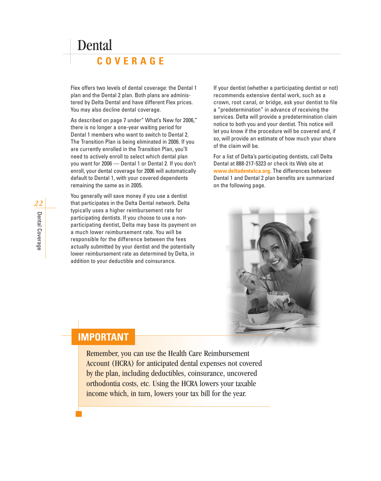# Dental **COVERAGE**

Flex offers two levels of dental coverage: the Dental 1 plan and the Dental 2 plan. Both plans are administered by Delta Dental and have different Flex prices. You may also decline dental coverage.

As described on page 7 under" What's New for 2006," there is no longer a one-year waiting period for Dental 1 members who want to switch to Dental 2. The Transition Plan is being eliminated in 2006. If you are currently enrolled in the Transition Plan, you'll need to actively enroll to select which dental plan you want for 2006 — Dental 1 or Dental 2. If you don't enroll, your dental coverage for 2006 will automatically default to Dental 1, with your covered dependents remaining the same as in 2005.

You generally will save money if you use a dentist that participates in the Delta Dental network. Delta typically uses a higher reimbursement rate for participating dentists. If you choose to use a nonparticipating dentist, Delta may base its payment on a much lower reimbursement rate. You will be responsible for the difference between the fees actually submitted by your dentist and the potentially lower reimbursement rate as determined by Delta, in addition to your deductible and coinsurance.

If your dentist (whether a participating dentist or not) recommends extensive dental work, such as a crown, root canal, or bridge, ask your dentist to file a "predetermination" in advance of receiving the services. Delta will provide a predetermination claim notice to both you and your dentist. This notice will let you know if the procedure will be covered and, if so, will provide an estimate of how much your share of the claim will be.

For a list of Delta's participating dentists, call Delta Dental at 888-217-5323 or check its Web site at **www.deltadentalca.org**. The differences between Dental 1 and Dental 2 plan benefits are summarized on the following page.



#### **IMPORTANT**

Remember, you can use the Health Care Reimbursement Account (HCRA) for anticipated dental expenses not covered by the plan, including deductibles, coinsurance, uncovered orthodontia costs, etc. Using the HCRA lowers your taxable income which, in turn, lowers your tax bill for the year.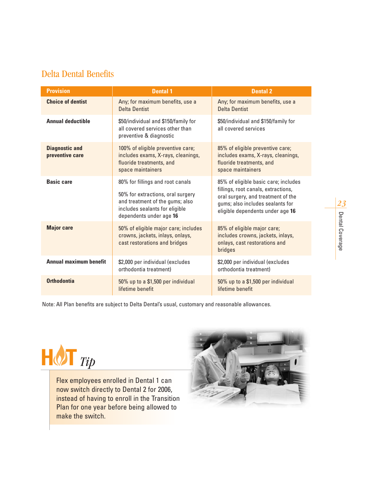## Delta Dental Benefits

| <b>Provision</b>                         | <b>Dental 1</b>                                                                                                                                                       | <b>Dental 2</b>                                                                                                                                                                           |
|------------------------------------------|-----------------------------------------------------------------------------------------------------------------------------------------------------------------------|-------------------------------------------------------------------------------------------------------------------------------------------------------------------------------------------|
| <b>Choice of dentist</b>                 | Any; for maximum benefits, use a<br><b>Delta Dentist</b>                                                                                                              | Any; for maximum benefits, use a<br><b>Delta Dentist</b>                                                                                                                                  |
| <b>Annual deductible</b>                 | \$50/individual and \$150/family for<br>all covered services other than<br>preventive & diagnostic                                                                    | \$50/individual and \$150/family for<br>all covered services                                                                                                                              |
| <b>Diagnostic and</b><br>preventive care | 100% of eligible preventive care;<br>includes exams, X-rays, cleanings,<br>fluoride treatments, and<br>space maintainers                                              | 85% of eligible preventive care;<br>includes exams, X-rays, cleanings,<br>fluoride treatments, and<br>space maintainers                                                                   |
| <b>Basic care</b>                        | 80% for fillings and root canals<br>50% for extractions, oral surgery<br>and treatment of the gums; also<br>includes sealants for eligible<br>dependents under age 16 | 85% of eligible basic care; includes<br>fillings, root canals, extractions,<br>oral surgery, and treatment of the<br>gums; also includes sealants for<br>eligible dependents under age 16 |
| <b>Major care</b>                        | 50% of eligible major care; includes<br>crowns, jackets, inlays, onlays,<br>cast restorations and bridges                                                             | 85% of eligible major care;<br>includes crowns, jackets, inlays,<br>onlays, cast restorations and<br>bridges                                                                              |
| <b>Annual maximum benefit</b>            | \$2,000 per individual (excludes<br>orthodontia treatment)                                                                                                            | \$2,000 per individual (excludes<br>orthodontia treatment)                                                                                                                                |
| <b>Orthodontia</b>                       | 50% up to a \$1,500 per individual<br>lifetime benefit                                                                                                                | 50% up to a \$1,500 per individual<br>lifetime benefit                                                                                                                                    |

Note: All Plan benefits are subject to Delta Dental's usual, customary and reasonable allowances.



Flex employees enrolled in Dental 1 can now switch directly to Dental 2 for 2006, instead of having to enroll in the Transition Plan for one year before being allowed to make the switch.

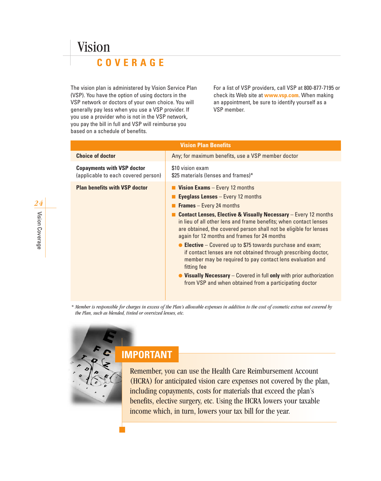# Vision **COVERAGE**

The vision plan is administered by Vision Service Plan (VSP). You have the option of using doctors in the VSP network or doctors of your own choice. You will generally pay less when you use a VSP provider. If you use a provider who is not in the VSP network, you pay the bill in full and VSP will reimburse you based on a schedule of benefits.

For a list of VSP providers, call VSP at 800-877-7195 or check its Web site at **www.vsp.com**. When making an appointment, be sure to identify yourself as a VSP member.

| <b>Vision Plan Benefits</b>                                              |                                                                                                                                                                                                                                                                                                                                                                                                                                                                                                                                                                                                                                                                                                                                                              |  |
|--------------------------------------------------------------------------|--------------------------------------------------------------------------------------------------------------------------------------------------------------------------------------------------------------------------------------------------------------------------------------------------------------------------------------------------------------------------------------------------------------------------------------------------------------------------------------------------------------------------------------------------------------------------------------------------------------------------------------------------------------------------------------------------------------------------------------------------------------|--|
| <b>Choice of doctor</b>                                                  | Any; for maximum benefits, use a VSP member doctor                                                                                                                                                                                                                                                                                                                                                                                                                                                                                                                                                                                                                                                                                                           |  |
| <b>Copayments with VSP doctor</b><br>(applicable to each covered person) | \$10 vision exam<br>\$25 materials (lenses and frames)*                                                                                                                                                                                                                                                                                                                                                                                                                                                                                                                                                                                                                                                                                                      |  |
| <b>Plan benefits with VSP doctor</b>                                     | <b>Vision Exams</b> $-$ Every 12 months<br><b>Eyeglass Lenses</b> - Every 12 months<br><b>Frames</b> – Every 24 months<br><b>Contact Lenses, Elective &amp; Visually Necessary</b> – Every 12 months<br>in lieu of all other lens and frame benefits; when contact lenses<br>are obtained, the covered person shall not be eligible for lenses<br>again for 12 months and frames for 24 months<br>$\bullet$ Elective – Covered up to \$75 towards purchase and exam;<br>if contact lenses are not obtained through prescribing doctor,<br>member may be required to pay contact lens evaluation and<br>fitting fee<br>$\bullet$ Visually Necessary – Covered in full only with prior authorization<br>from VSP and when obtained from a participating doctor |  |

*\* Member is responsible for charges in excess of the Plan's allowable expenses in addition to the cost of cosmetic extras not covered by the Plan, such as blended, tinted or oversized lenses, etc.*

# **IMPORTANT**

Remember, you can use the Health Care Reimbursement Account (HCRA) for anticipated vision care expenses not covered by the plan, including copayments, costs for materials that exceed the plan's benefits, elective surgery, etc. Using the HCRA lowers your taxable income which, in turn, lowers your tax bill for the year.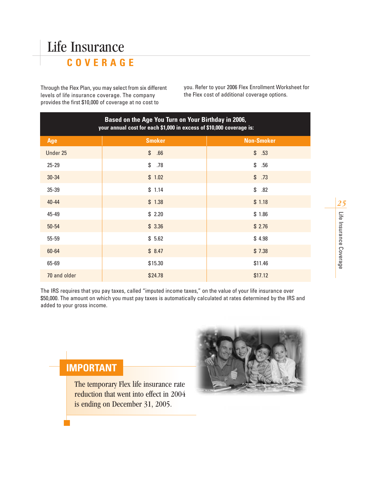# Life Insurance **COVERAGE**

Through the Flex Plan, you may select from six different levels of life insurance coverage. The company provides the first \$10,000 of coverage at no cost to

you. Refer to your 2006 Flex Enrollment Worksheet for the Flex cost of additional coverage options.

| Based on the Age You Turn on Your Birthday in 2006,<br>your annual cost for each \$1,000 in excess of \$10,000 coverage is: |               |                     |
|-----------------------------------------------------------------------------------------------------------------------------|---------------|---------------------|
| Age                                                                                                                         | <b>Smoker</b> | <b>Non-Smoker</b>   |
| Under 25                                                                                                                    | \$.66         | \$.53               |
| $25 - 29$                                                                                                                   | \$.78         | $\mathbb{S}$<br>.56 |
| 30-34                                                                                                                       | \$1.02        | \$.73               |
| 35-39                                                                                                                       | \$1.14        | \$.82               |
| $40 - 44$                                                                                                                   | \$1.38        | \$1.18              |
| 45-49                                                                                                                       | \$2.20        | \$1.86              |
| $50 - 54$                                                                                                                   | \$3.36        | \$2.76              |
| 55-59                                                                                                                       | \$5.62        | \$4.98              |
| 60-64                                                                                                                       | \$8.47        | \$7.38              |
| 65-69                                                                                                                       | \$15.30       | \$11.46             |
| 70 and older                                                                                                                | \$24.78       | \$17.12             |

The IRS requires that you pay taxes, called "imputed income taxes," on the value of your life insurance over \$50,000. The amount on which you must pay taxes is automatically calculated at rates determined by the IRS and added to your gross income.



## **IMPORTANT**

The temporary Flex life insurance rate reduction that went into effect in 2004 is ending on December 31, 2005.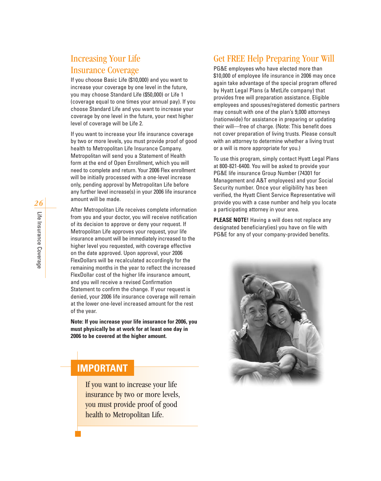#### Increasing Your Life Insurance Coverage

If you choose Basic Life (\$10,000) and you want to increase your coverage by one level in the future, you may choose Standard Life (\$50,000) or Life 1 (coverage equal to one times your annual pay). If you choose Standard Life and you want to increase your coverage by one level in the future, your next higher level of coverage will be Life 2.

If you want to increase your life insurance coverage by two or more levels, you must provide proof of good health to Metropolitan Life Insurance Company. Metropolitan will send you a Statement of Health form at the end of Open Enrollment, which you will need to complete and return. Your 2006 Flex enrollment will be initially processed with a one-level increase only, pending approval by Metropolitan Life before any further level increase(s) in your 2006 life insurance amount will be made.

After Metropolitan Life receives complete information from you and your doctor, you will receive notification of its decision to approve or deny your request. If Metropolitan Life approves your request, your life insurance amount will be immediately increased to the higher level you requested, with coverage effective on the date approved. Upon approval, your 2006 FlexDollars will be recalculated accordingly for the remaining months in the year to reflect the increased FlexDollar cost of the higher life insurance amount, and you will receive a revised Confirmation Statement to confirm the change. If your request is denied, your 2006 life insurance coverage will remain at the lower one-level increased amount for the rest of the year.

**Note: If you increase your life insurance for 2006, you must physically be at work for at least one day in 2006 to be covered at the higher amount.**

## **IMPORTANT**

If you want to increase your life insurance by two or more levels, you must provide proof of good health to Metropolitan Life.

#### Get FREE Help Preparing Your Will

PG&E employees who have elected more than \$10,000 of employee life insurance in 2006 may once again take advantage of the special program offered by Hyatt Legal Plans (a MetLife company) that provides free will preparation assistance. Eligible employees and spouses/registered domestic partners may consult with one of the plan's 9,000 attorneys (nationwide) for assistance in preparing or updating their will—free of charge. (Note: This benefit does not cover preparation of living trusts. Please consult with an attorney to determine whether a living trust or a will is more appropriate for you.)

To use this program, simply contact Hyatt Legal Plans at 800-821-6400. You will be asked to provide your PG&E life insurance Group Number (74301 for Management and A&T employees) and your Social Security number. Once your eligibility has been verified, the Hyatt Client Service Representative will provide you with a case number and help you locate a participating attorney in your area.

**PLEASE NOTE!** Having a will does not replace any designated beneficiary(ies) you have on file with PG&E for any of your company-provided benefits.

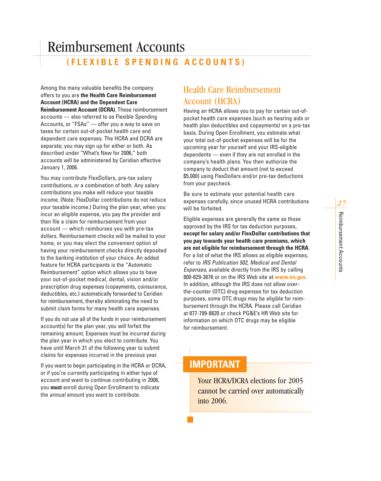# Reimbursement Accounts **(FLEXIBLE SPENDING ACCOUNTS)**

Among the many valuable benefits the company offers to you are **the Health Care Reimbursement Account (HCRA) and the Dependent Care Reimbursement Account (DCRA)**. These reimbursement accounts — also referred to as Flexible Spending Accounts, or "FSAs" — offer you a way to save on taxes for certain out-of-pocket health care and dependent care expenses. The HCRA and DCRA are separate; you may sign up for either or both. As described under "What's New for 2006," both accounts will be administered by Ceridian effective January 1, 2006.

You may contribute FlexDollars, pre-tax salary contributions, or a combination of both. Any salary contributions you make will reduce your taxable income. (Note: FlexDollar contributions do not reduce your taxable income.) During the plan year, when you incur an eligible expense, you pay the provider and then file a claim for reimbursement from your account — which reimburses you with pre-tax dollars. Reimbursement checks will be mailed to your home, or you may elect the convenient option of having your reimbursement checks directly deposited to the banking institution of your choice. An added feature for HCRA participants is the "Automatic Reimbursement" option which allows you to have your out-of-pocket medical, dental, vision and/or prescription drug expenses (copayments, coinsurance, deductibles, etc.) automatically forwarded to Ceridian for reimbursement, thereby eliminating the need to submit claim forms for many health care expenses.

If you do not use all of the funds in your reimbursement account(s) for the plan year, you will forfeit the remaining amount. Expenses must be incurred during the plan year in which you elect to contribute. You have until March 31 of the following year to submit claims for expenses incurred in the previous year.

If you want to begin participating in the HCRA or DCRA, or if you're currently participating in either type of account and want to continue contributing in 2006, you **must** enroll during Open Enrollment to indicate the *annual* amount you want to contribute.

### Health Care Reimbursement Account (HCRA)

Having an HCRA allows you to pay for certain out-ofpocket health care expenses (such as hearing aids or health plan deductibles and copayments) on a pre-tax basis. During Open Enrollment, you estimate what your total out-of-pocket expenses will be for the upcoming year for yourself and your IRS-eligible dependents — even if they are not enrolled in the company's health plans. You then authorize the company to deduct that amount (not to exceed \$5,000) using FlexDollars and/or pre-tax deductions from your paycheck.

Be sure to estimate your potential health care expenses carefully, since unused HCRA contributions will be forfeited.

Eligible expenses are generally the same as those approved by the IRS for tax deduction purposes, **except for salary and/or FlexDollar contributions that you pay towards your health care premiums, which are not eligible for reimbursement through the HCRA**. For a list of what the IRS allows as eligible expenses, refer to *IRS Publication 502, Medical and Dental Expenses*, available directly from the IRS by calling 800-829-3676 or on the IRS Web site at **www.irs.gov**. In addition, although the IRS does not allow overthe-counter (OTC) drug expenses for tax deduction purposes, some OTC drugs may be eligible for reimbursement through the HCRA. Please call Ceridian at 877-799-8820 or check PG&E's HR Web site for information on which OTC drugs may be eligible for reimbursement.

#### **IMPORTANT**

Your HCRA/DCRA elections for 2005 cannot be carried over automatically into 2006.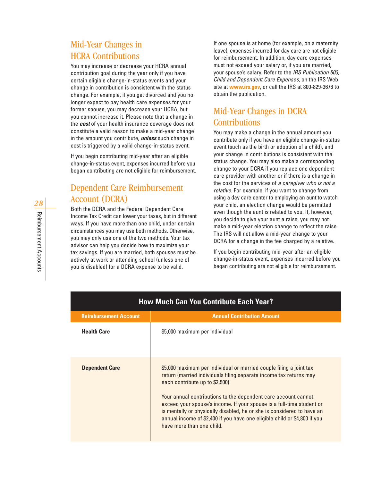#### Mid-Year Changes in HCRA Contributions

You may increase or decrease your HCRA annual contribution goal during the year only if you have certain eligible change-in-status events and your change in contribution is consistent with the status change. For example, if you get divorced and you no longer expect to pay health care expenses for your former spouse, you may decrease your HCRA, but you cannot increase it. Please note that a change in the *cost* of your health insurance coverage does not constitute a valid reason to make a mid-year change in the amount you contribute, *unless* such change in cost is triggered by a valid change-in-status event.

If you begin contributing mid-year after an eligible change-in-status event, expenses incurred before you began contributing are not eligible for reimbursement.

#### Dependent Care Reimbursement Account (DCRA)

Both the DCRA and the Federal Dependent Care Income Tax Credit can lower your taxes, but in different ways. If you have more than one child, under certain circumstances you may use both methods. Otherwise, you may only use one of the two methods. Your tax advisor can help you decide how to maximize your tax savings. If you are married, both spouses must be actively at work or attending school (unless one of you is disabled) for a DCRA expense to be valid.

If one spouse is at home (for example, on a maternity leave), expenses incurred for day care are not eligible for reimbursement. In addition, day care expenses must not exceed your salary or, if you are married, your spouse's salary. Refer to the *IRS Publication 503, Child and Dependent Care Expenses*, on the IRS Web site at **www.irs.gov**, or call the IRS at 800-829-3676 to obtain the publication.

#### Mid-Year Changes in DCRA **Contributions**

You may make a change in the annual amount you contribute only if you have an eligible change-in-status event (such as the birth or adoption of a child), and your change in contributions is consistent with the status change. You may also make a corresponding change to your DCRA if you replace one dependent care provider with another or if there is a change in the cost for the services of *a caregiver who is not a relative.* For example, if you want to change from using a day care center to employing an aunt to watch your child, an election change would be permitted even though the aunt is related to you. If, however, you decide to give your aunt a raise, you may not make a mid-year election change to reflect the raise. The IRS will not allow a mid-year change to your DCRA for a change in the fee charged by a relative.

If you begin contributing mid-year after an eligible change-in-status event, expenses incurred before you began contributing are not eligible for reimbursement.

| <b>How Much Can You Contribute Each Year?</b> |                                                                                                                                                                                                                                                                                                                                                                                                                                                                                                            |  |
|-----------------------------------------------|------------------------------------------------------------------------------------------------------------------------------------------------------------------------------------------------------------------------------------------------------------------------------------------------------------------------------------------------------------------------------------------------------------------------------------------------------------------------------------------------------------|--|
| <b>Reimbursement Account</b>                  | <b>Annual Contribution Amount</b>                                                                                                                                                                                                                                                                                                                                                                                                                                                                          |  |
| <b>Health Care</b>                            | \$5,000 maximum per individual                                                                                                                                                                                                                                                                                                                                                                                                                                                                             |  |
| <b>Dependent Care</b>                         | \$5,000 maximum per individual or married couple filing a joint tax<br>return (married individuals filing separate income tax returns may<br>each contribute up to \$2,500)<br>Your annual contributions to the dependent care account cannot<br>exceed your spouse's income. If your spouse is a full-time student or<br>is mentally or physically disabled, he or she is considered to have an<br>annual income of \$2,400 if you have one eligible child or \$4,800 if you<br>have more than one child. |  |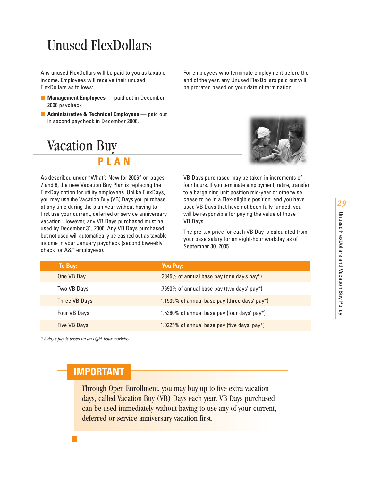# Unused FlexDollars

Any unused FlexDollars will be paid to you as taxable income. Employees will receive their unused FlexDollars as follows:

- **Management Employees** paid out in December 2006 paycheck
- **Administrative & Technical Employees** paid out in second paycheck in December 2006.

# Vacation Buy

## **PLAN**

As described under "What's New for 2006" on pages 7 and 8, the new Vacation Buy Plan is replacing the FlexDay option for utility employees. Unlike FlexDays, you may use the Vacation Buy (VB) Days you purchase at any time during the plan year without having to first use your current, deferred or service anniversary vacation. However, any VB Days purchased must be used by December 31, 2006. Any VB Days purchased but not used will automatically be cashed out as taxable income in your January paycheck (second biweekly check for A&T employees).

For employees who terminate employment before the end of the year, any Unused FlexDollars paid out will be prorated based on your date of termination.



VB Days purchased may be taken in increments of four hours. If you terminate employment, retire, transfer to a bargaining unit position mid-year or otherwise cease to be in a Flex-eligible position, and you have used VB Days that have not been fully funded, you will be responsible for paying the value of those VB Days.

The pre-tax price for each VB Day is calculated from your base salary for an eight-hour workday as of September 30, 2005.

| <b>To Buy:</b>      | <b>You Pay:</b>                               |
|---------------------|-----------------------------------------------|
| One VB Day          | .3845% of annual base pay (one day's pay*)    |
| Two VB Days         | .7690% of annual base pay (two days' pay*)    |
| Three VB Days       | 1.1535% of annual base pay (three days' pay*) |
| Four VB Days        | 1.5380% of annual base pay (four days' pay*)  |
| <b>Five VB Days</b> | 1.9225% of annual base pay (five days' pay*)  |

*\* A day's pay is based on an eight-hour workday.*

## **IMPORTANT**

Through Open Enrollment, you may buy up to five extra vacation days, called Vacation Buy (VB) Days each year. VB Days purchased can be used immediately without having to use any of your current, deferred or service anniversary vacation first.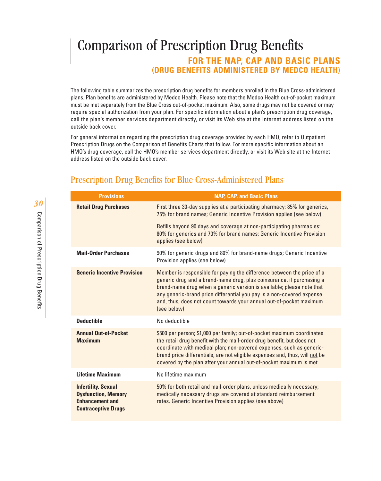# Comparison of Prescription Drug Benefits

#### **FOR THE NAP, CAP AND BASIC PLANS (DRUG BENEFITS ADMINISTERED BY MEDCO HEALTH)**

The following table summarizes the prescription drug benefits for members enrolled in the Blue Cross-administered plans. Plan benefits are administered by Medco Health. Please note that the Medco Health out-of-pocket maximum must be met separately from the Blue Cross out-of-pocket maximum. Also, some drugs may not be covered or may require special authorization from your plan. For specific information about a plan's prescription drug coverage, call the plan's member services department directly, or visit its Web site at the Internet address listed on the outside back cover.

For general information regarding the prescription drug coverage provided by each HMO, refer to Outpatient Prescription Drugs on the Comparison of Benefits Charts that follow. For more specific information about an HMO's drug coverage, call the HMO's member services department directly, or visit its Web site at the Internet address listed on the outside back cover.

| <b>Provisions</b>                                                                                                | <b>NAP, CAP, and Basic Plans</b>                                                                                                                                                                                                                                                                                                                                                        |
|------------------------------------------------------------------------------------------------------------------|-----------------------------------------------------------------------------------------------------------------------------------------------------------------------------------------------------------------------------------------------------------------------------------------------------------------------------------------------------------------------------------------|
| <b>Retail Drug Purchases</b>                                                                                     | First three 30-day supplies at a participating pharmacy: 85% for generics,<br>75% for brand names; Generic Incentive Provision applies (see below)                                                                                                                                                                                                                                      |
|                                                                                                                  | Refills beyond 90 days and coverage at non-participating pharmacies:<br>80% for generics and 70% for brand names; Generic Incentive Provision<br>applies (see below)                                                                                                                                                                                                                    |
| <b>Mail-Order Purchases</b>                                                                                      | 90% for generic drugs and 80% for brand-name drugs; Generic Incentive<br>Provision applies (see below)                                                                                                                                                                                                                                                                                  |
| <b>Generic Incentive Provision</b>                                                                               | Member is responsible for paying the difference between the price of a<br>generic drug and a brand-name drug, plus coinsurance, if purchasing a<br>brand-name drug when a generic version is available; please note that<br>any generic-brand price differential you pay is a non-covered expense<br>and, thus, does not count towards your annual out-of-pocket maximum<br>(see below) |
| <b>Deductible</b>                                                                                                | No deductible                                                                                                                                                                                                                                                                                                                                                                           |
| <b>Annual Out-of-Pocket</b><br><b>Maximum</b>                                                                    | \$500 per person; \$1,000 per family; out-of-pocket maximum coordinates<br>the retail drug benefit with the mail-order drug benefit, but does not<br>coordinate with medical plan; non-covered expenses, such as generic-<br>brand price differentials, are not eligible expenses and, thus, will not be<br>covered by the plan after your annual out-of-pocket maximum is met          |
| <b>Lifetime Maximum</b>                                                                                          | No lifetime maximum                                                                                                                                                                                                                                                                                                                                                                     |
| <b>Infertility, Sexual</b><br><b>Dysfunction, Memory</b><br><b>Enhancement and</b><br><b>Contraceptive Drugs</b> | 50% for both retail and mail-order plans, unless medically necessary;<br>medically necessary drugs are covered at standard reimbursement<br>rates. Generic Incentive Provision applies (see above)                                                                                                                                                                                      |

## Prescription Drug Benefits for Blue Cross-Administered Plans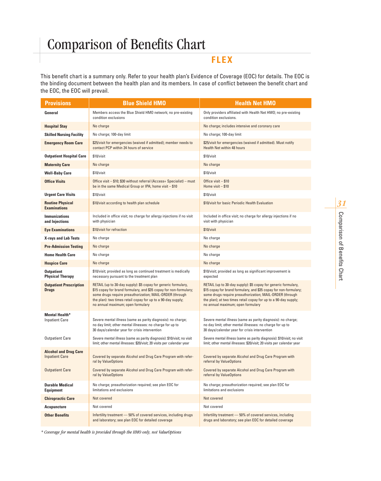# Comparison of Benefits Chart

#### **FLEX**

This benefit chart is a summary only. Refer to your health plan's Evidence of Coverage (EOC) for details. The EOC is the binding document between the health plan and its members. In case of conflict between the benefit chart and the EOC, the EOC will prevail.

| <b>Provisions</b>                                     | <b>Blue Shield HMO</b>                                                                                                                                                                                                                                                                               | <b>Health Net HMO</b>                                                                                                                                                                                                                                                                                   |
|-------------------------------------------------------|------------------------------------------------------------------------------------------------------------------------------------------------------------------------------------------------------------------------------------------------------------------------------------------------------|---------------------------------------------------------------------------------------------------------------------------------------------------------------------------------------------------------------------------------------------------------------------------------------------------------|
| General                                               | Members access the Blue Shield HMO network: no pre-existing<br>condition exclusions                                                                                                                                                                                                                  | Only providers affiliated with Health Net HMO; no pre-existing<br>condition exclusions.                                                                                                                                                                                                                 |
| <b>Hospital Stay</b>                                  | No charge                                                                                                                                                                                                                                                                                            | No charge; includes intensive and coronary care                                                                                                                                                                                                                                                         |
| <b>Skilled Nursing Facility</b>                       | No charge; 100-day limit                                                                                                                                                                                                                                                                             | No charge; 100-day limit                                                                                                                                                                                                                                                                                |
| <b>Emergency Room Care</b>                            | \$25/visit for emergencies (waived if admitted); member needs to<br>contact PCP within 24 hours of service                                                                                                                                                                                           | \$25/visit for emergencies (waived if admitted). Must notify<br><b>Health Net within 48 hours</b>                                                                                                                                                                                                       |
| <b>Outpatient Hospital Care</b>                       | \$10/visit                                                                                                                                                                                                                                                                                           | \$10/visit                                                                                                                                                                                                                                                                                              |
| <b>Maternity Care</b>                                 | No charge                                                                                                                                                                                                                                                                                            | No charge                                                                                                                                                                                                                                                                                               |
| <b>Well-Baby Care</b>                                 | \$10/visit                                                                                                                                                                                                                                                                                           | \$10/visit                                                                                                                                                                                                                                                                                              |
| <b>Office Visits</b>                                  | Office visit - \$10; \$30 without referral (Access+ Specialist) - must<br>be in the same Medical Group or IPA; home visit - \$10                                                                                                                                                                     | Office visit - \$10<br>Home visit $-$ \$10                                                                                                                                                                                                                                                              |
| <b>Urgent Care Visits</b>                             | \$10/visit                                                                                                                                                                                                                                                                                           | \$10/visit                                                                                                                                                                                                                                                                                              |
| <b>Routine Physical</b><br><b>Examinations</b>        | \$10/visit according to health plan schedule                                                                                                                                                                                                                                                         | \$10/visit for basic Periodic Health Evaluation                                                                                                                                                                                                                                                         |
| <b>Immunizations</b><br>and Injections                | Included in office visit; no charge for allergy injections if no visit<br>with physician                                                                                                                                                                                                             | Included in office visit; no charge for allergy injections if no<br>visit with physician                                                                                                                                                                                                                |
| <b>Eye Examinations</b>                               | \$10/visit for refraction                                                                                                                                                                                                                                                                            | \$10/visit                                                                                                                                                                                                                                                                                              |
| <b>X-rays and Lab Tests</b>                           | No charge                                                                                                                                                                                                                                                                                            | No charge                                                                                                                                                                                                                                                                                               |
| <b>Pre-Admission Testing</b>                          | No charge                                                                                                                                                                                                                                                                                            | No charge                                                                                                                                                                                                                                                                                               |
| <b>Home Health Care</b>                               | No charge                                                                                                                                                                                                                                                                                            | No charge                                                                                                                                                                                                                                                                                               |
| <b>Hospice Care</b>                                   | No charge                                                                                                                                                                                                                                                                                            | No charge                                                                                                                                                                                                                                                                                               |
| <b>Outpatient</b><br><b>Physical Therapy</b>          | \$10/visit; provided as long as continued treatment is medically<br>necessary pursuant to the treatment plan                                                                                                                                                                                         | \$10/visit; provided as long as significant improvement is<br>expected                                                                                                                                                                                                                                  |
| <b>Outpatient Prescription</b><br><b>Drugs</b>        | RETAIL (up to 30-day supply): \$5 copay for generic formulary,<br>\$15 copay for brand formulary, and \$35 copay for non-formulary;<br>some drugs require preauthorization; MAIL-ORDER (through<br>the plan): two times retail copay for up to a 90-day supply;<br>no annual maximum; open formulary | RETAIL (up to 30-day supply): \$5 copay for generic formulary,<br>\$15 copay for brand formulary, and \$35 copay for non-formulary;<br>some drugs require preauthorization; MAIL-ORDER (through<br>the plan); at two times retail copay for up to a 90-day supply;<br>no annual maximum; open formulary |
| <b>Mental Health*</b><br><b>Inpatient Care</b>        | Severe mental illness (same as parity diagnosis): no charge;<br>no day limit; other mental illnesses: no charge for up to<br>30 days/calendar year for crisis intervention                                                                                                                           | Severe mental illness (same as parity diagnosis): no charge;<br>no day limit; other mental illnesses: no charge for up to<br>30 days/calendar year for crisis intervention                                                                                                                              |
| <b>Outpatient Care</b>                                | Severe mental illness (same as parity diagnosis): \$10/visit; no visit<br>limit; other mental illnesses: \$20/visit; 20 visits per calendar year                                                                                                                                                     | Severe mental illness (same as parity diagnosis): \$10/visit; no visit<br>limit; other mental illnesses: \$20/visit; 20 visits per calendar year                                                                                                                                                        |
| <b>Alcohol and Drug Care</b><br><b>Inpatient Care</b> | Covered by separate Alcohol and Drug Care Program with refer-<br>ral by ValueOptions                                                                                                                                                                                                                 | Covered by separate Alcohol and Drug Care Program with<br>referral by ValueOptions                                                                                                                                                                                                                      |
| <b>Outpatient Care</b>                                | Covered by separate Alcohol and Drug Care Program with refer-<br>ral by ValueOptions                                                                                                                                                                                                                 | Covered by separate Alcohol and Drug Care Program with<br>referral by ValueOptions                                                                                                                                                                                                                      |
| <b>Durable Medical</b><br><b>Equipment</b>            | No charge; preauthorization required; see plan EOC for<br>limitations and exclusions                                                                                                                                                                                                                 | No charge; preauthorization required; see plan EOC for<br>limitations and exclusions                                                                                                                                                                                                                    |
| <b>Chiropractic Care</b>                              | Not covered                                                                                                                                                                                                                                                                                          | Not covered                                                                                                                                                                                                                                                                                             |
| <b>Acupuncture</b>                                    | Not covered                                                                                                                                                                                                                                                                                          | Not covered                                                                                                                                                                                                                                                                                             |
| <b>Other Benefits</b>                                 | Infertility treatment - 50% of covered services, including drugs<br>and laboratory; see plan EOC for detailed coverage                                                                                                                                                                               | Infertility treatment - 50% of covered services, including<br>drugs and laboratory; see plan EOC for detailed coverage                                                                                                                                                                                  |

*\* Coverage for mental health is provided through the HMO only, not ValueOptions*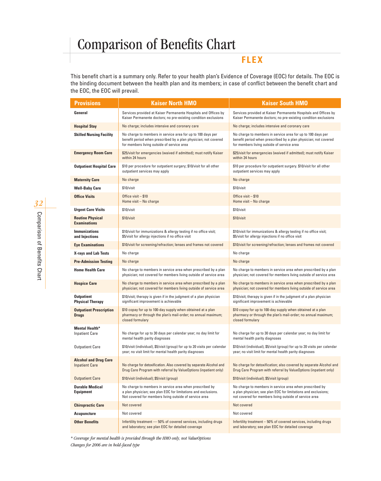#### **FLEX**

This benefit chart is a summary only. Refer to your health plan's Evidence of Coverage (EOC) for details. The EOC is the binding document between the health plan and its members; in case of conflict between the benefit chart and the EOC, the EOC will prevail.

| <b>Provisions</b>                                     | <b>Kaiser North HMO</b>                                                                                                                                                             | <b>Kaiser South HMO</b>                                                                                                                                                             |
|-------------------------------------------------------|-------------------------------------------------------------------------------------------------------------------------------------------------------------------------------------|-------------------------------------------------------------------------------------------------------------------------------------------------------------------------------------|
| General                                               | Services provided at Kaiser Permanente Hospitals and Offices by<br>Kaiser Permanente doctors; no pre-existing condition exclusions                                                  | Services provided at Kaiser Permanente Hospitals and Offices by<br>Kaiser Permanente doctors; no pre-existing condition exclusions                                                  |
| <b>Hospital Stay</b>                                  | No charge; includes intensive and coronary care                                                                                                                                     | No charge; includes intensive and coronary care                                                                                                                                     |
| <b>Skilled Nursing Facility</b>                       | No charge to members in service area for up to 100 days per<br>benefit period when prescribed by a plan physician; not covered<br>for members living outside of service area        | No charge to members in service area for up to 100 days per<br>benefit period when prescribed by a plan physician; not covered<br>for members living outside of service area        |
| <b>Emergency Room Care</b>                            | \$25/visit for emergencies (waived if admitted); must notify Kaiser<br>within 24 hours                                                                                              | \$25/visit for emergencies (waived if admitted); must notify Kaiser<br>within 24 hours                                                                                              |
| <b>Outpatient Hospital Care</b>                       | \$10 per procedure for outpatient surgery; \$10/visit for all other<br>outpatient services may apply                                                                                | \$10 per procedure for outpatient surgery. \$10/visit for all other<br>outpatient services may apply                                                                                |
| <b>Maternity Care</b>                                 | No charge                                                                                                                                                                           | No charge                                                                                                                                                                           |
| <b>Well-Baby Care</b>                                 | \$10/visit                                                                                                                                                                          | \$10/visit                                                                                                                                                                          |
| <b>Office Visits</b>                                  | Office visit - \$10<br>Home visit - No charge                                                                                                                                       | Office visit $-$ \$10<br>Home visit - No charge                                                                                                                                     |
| <b>Urgent Care Visits</b>                             | \$10/visit                                                                                                                                                                          | \$10/visit                                                                                                                                                                          |
| <b>Routine Physical</b><br><b>Examinations</b>        | \$10/visit                                                                                                                                                                          | \$10/visit                                                                                                                                                                          |
| <b>Immunizations</b><br>and Injections                | \$10/visit for immunizations & allergy testing if no office visit;<br>\$5/visit for allergy injections if no office visit                                                           | \$10/visit for immunizations & allergy testing if no office visit;<br>\$5/visit for allergy injections if no office visit                                                           |
| <b>Eye Examinations</b>                               | \$10/visit for screening/refraction; lenses and frames not covered                                                                                                                  | \$10/visit for screening/refraction; lenses and frames not covered                                                                                                                  |
| <b>X-rays and Lab Tests</b>                           | No charge                                                                                                                                                                           | No charge                                                                                                                                                                           |
| <b>Pre-Admission Testing</b>                          | No charge                                                                                                                                                                           | No charge                                                                                                                                                                           |
| <b>Home Health Care</b>                               | No charge to members in service area when prescribed by a plan<br>physician; not covered for members living outside of service area                                                 | No charge to members in service area when prescribed by a plan<br>physician; not covered for members living outside of service area                                                 |
| <b>Hospice Care</b>                                   | No charge to members in service area when prescribed by a plan<br>physician; not covered for members living outside of service area                                                 | No charge to members in service area when prescribed by a plan<br>physician; not covered for members living outside of service area                                                 |
| <b>Outpatient</b><br><b>Physical Therapy</b>          | \$10/visit; therapy is given if in the judgment of a plan physician<br>significant improvement is achievable                                                                        | \$10/visit; therapy is given if in the judgment of a plan physician<br>significant improvement is achievable                                                                        |
| <b>Outpatient Prescription</b><br><b>Drugs</b>        | \$10 copay for up to 100-day supply when obtained at a plan<br>pharmacy or through the plan's mail-order; no annual maximum;<br>closed formulary                                    | \$10 copay for up to 100-day supply when obtained at a plan<br>pharmacy or through the plan's mail-order; no annual maximum;<br>closed formulary                                    |
| <b>Mental Health*</b><br><b>Inpatient Care</b>        | No charge for up to 30 days per calendar year; no day limit for<br>mental health parity diagnoses                                                                                   | No charge for up to 30 days per calendar year; no day limit for<br>mental health parity diagnoses                                                                                   |
| <b>Outpatient Care</b>                                | \$10/visit (individual), \$5/visit (group) for up to 20 visits per calendar<br>year; no visit limit for mental health parity diagnoses                                              | \$10/visit (individual), \$5/visit (group) for up to 20 visits per calendar<br>year; no visit limit for mental health parity diagnoses                                              |
| <b>Alcohol and Drug Care</b><br><b>Inpatient Care</b> | No charge for detoxification. Also covered by separate Alcohol and<br>Drug Care Program with referral by ValueOptions (inpatient only)                                              | No charge for detoxification; also covered by separate Alcohol and<br>Drug Care Program with referral by ValueOptions (inpatient only)                                              |
| <b>Outpatient Care</b>                                | \$10/visit (individual); \$5/visit (group)                                                                                                                                          | \$10/visit (individual); \$5/visit (group)                                                                                                                                          |
| <b>Durable Medical</b><br>Equipment                   | No charge to members in service area when prescribed by<br>a plan physician; see plan EOC for limitations and exclusions.<br>Not covered for members living outside of service area | No charge to members in service area when prescribed by<br>a plan physician; see plan EOC for limitations and exclusions;<br>not covered for members living outside of service area |
| <b>Chiropractic Care</b>                              | Not covered                                                                                                                                                                         | Not covered                                                                                                                                                                         |
| <b>Acupuncture</b>                                    | Not covered                                                                                                                                                                         | Not covered                                                                                                                                                                         |
| <b>Other Benefits</b>                                 | Infertility treatment - 50% of covered services, including drugs<br>and laboratory; see plan EOC for detailed coverage                                                              | Infertility treatment - 50% of covered services, including drugs<br>and laboratory; see plan EOC for detailed coverage                                                              |

*\* Coverage for mental health is provided through the HMO only, not ValueOptions Changes for 2006 are in bold-faced type*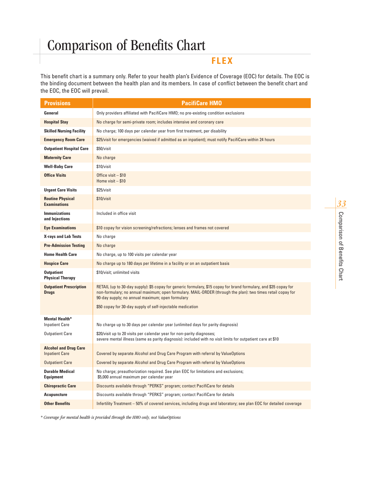# Comparison of Benefits Chart

#### **FLEX**

This benefit chart is a summary only. Refer to your health plan's Evidence of Coverage (EOC) for details. The EOC is the binding document between the health plan and its members. In case of conflict between the benefit chart and the EOC, the EOC will prevail.

| <b>Provisions</b>                                     | <b>PacifiCare HMO</b>                                                                                                                                                                                                                                                                |
|-------------------------------------------------------|--------------------------------------------------------------------------------------------------------------------------------------------------------------------------------------------------------------------------------------------------------------------------------------|
| General                                               | Only providers affiliated with PacifiCare HMO; no pre-existing condition exclusions                                                                                                                                                                                                  |
| <b>Hospital Stay</b>                                  | No charge for semi-private room; includes intensive and coronary care                                                                                                                                                                                                                |
| <b>Skilled Nursing Facility</b>                       | No charge; 100 days per calendar year from first treatment, per disability                                                                                                                                                                                                           |
| <b>Emergency Room Care</b>                            | \$25/visit for emergencies (waived if admitted as an inpatient); must notify PacifiCare within 24 hours                                                                                                                                                                              |
| <b>Outpatient Hospital Care</b>                       | \$50/visit                                                                                                                                                                                                                                                                           |
| <b>Maternity Care</b>                                 | No charge                                                                                                                                                                                                                                                                            |
| <b>Well-Baby Care</b>                                 | \$10/vist                                                                                                                                                                                                                                                                            |
| <b>Office Visits</b>                                  | Office visit - \$10<br>Home visit - \$10                                                                                                                                                                                                                                             |
| <b>Urgent Care Visits</b>                             | \$25/visit                                                                                                                                                                                                                                                                           |
| <b>Routine Physical</b><br><b>Examinations</b>        | \$10/visit                                                                                                                                                                                                                                                                           |
| <b>Immunizations</b><br>and Injections                | Included in office visit                                                                                                                                                                                                                                                             |
| <b>Eye Examinations</b>                               | \$10 copay for vision screening/refractions; lenses and frames not covered                                                                                                                                                                                                           |
| <b>X-rays and Lab Tests</b>                           | No charge                                                                                                                                                                                                                                                                            |
| <b>Pre-Admission Testing</b>                          | No charge                                                                                                                                                                                                                                                                            |
| <b>Home Health Care</b>                               | No charge, up to 100 visits per calendar year                                                                                                                                                                                                                                        |
| <b>Hospice Care</b>                                   | No charge up to 180 days per lifetime in a facility or on an outpatient basis                                                                                                                                                                                                        |
| <b>Outpatient</b><br><b>Physical Therapy</b>          | \$10/visit; unlimited visits                                                                                                                                                                                                                                                         |
| <b>Outpatient Prescription</b><br><b>Drugs</b>        | RETAIL (up to 30-day supply): \$5 copay for generic formulary, \$15 copay for brand formulary, and \$35 copay for<br>non-formulary; no annual maximum; open formulary. MAIL-ORDER (through the plan): two times retail copay for<br>90-day supply; no annual maximum; open formulary |
|                                                       | \$50 copay for 30-day supply of self-injectable medication                                                                                                                                                                                                                           |
| <b>Mental Health*</b><br><b>Inpatient Care</b>        | No charge up to 30 days per calendar year (unlimited days for parity diagnosis)                                                                                                                                                                                                      |
| <b>Outpatient Care</b>                                | \$20/visit up to 20 visits per calendar year for non-parity diagnoses;<br>severe mental illness (same as parity diagnosis): included with no visit limits for outpatient care at \$10                                                                                                |
| <b>Alcohol and Drug Care</b><br><b>Inpatient Care</b> | Covered by separate Alcohol and Drug Care Program with referral by ValueOptions                                                                                                                                                                                                      |
| <b>Outpatient Care</b>                                | Covered by separate Alcohol and Drug Care Program with referral by ValueOptions                                                                                                                                                                                                      |
| <b>Durable Medical</b><br><b>Equipment</b>            | No charge; preauthorization required. See plan EOC for limitations and exclusions;<br>\$5,000 annual maximum per calendar year                                                                                                                                                       |
| <b>Chiropractic Care</b>                              | Discounts available through "PERKS" program; contact PacifiCare for details                                                                                                                                                                                                          |
| <b>Acupuncture</b>                                    | Discounts available through "PERKS" program; contact PacifiCare for details                                                                                                                                                                                                          |
| <b>Other Benefits</b>                                 | Infertility Treatment - 50% of covered services, including drugs and laboratory; see plan EOC for detailed coverage                                                                                                                                                                  |

*\* Coverage for mental health is provided through the HMO only, not ValueOptions*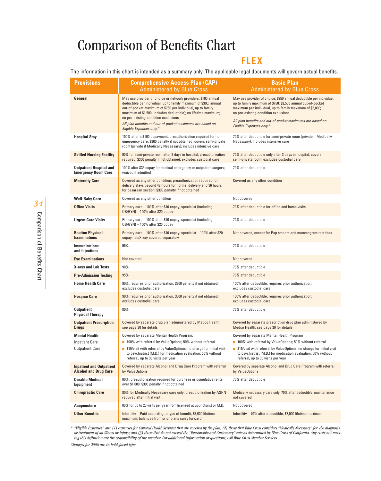#### **FLEX**

The information in this chart is intended as a summary only. The applicable legal documents will govern actual benefits.

| <b>Provisions</b>                                               | <b>Comprehensive Access Plan (CAP)</b>                                                                                                                                                                                                                             | <b>Basic Plan</b>                                                                                                                                                                                                                      |
|-----------------------------------------------------------------|--------------------------------------------------------------------------------------------------------------------------------------------------------------------------------------------------------------------------------------------------------------------|----------------------------------------------------------------------------------------------------------------------------------------------------------------------------------------------------------------------------------------|
|                                                                 | <b>Administered by Blue Cross</b>                                                                                                                                                                                                                                  | <b>Administered by Blue Cross</b>                                                                                                                                                                                                      |
| General                                                         | May use provider of choice or network providers; \$100 annual<br>deductible per individual, up to family maximum of \$300; annual<br>out-of-pocket maximum of \$750 per individual, up to family<br>maximum of \$1,500 (includes deductible); no lifetime maximum; | May use provider of choice; \$250 annual deductible per individual,<br>up to family maximum of \$750; \$2,500 annual out-of-pocket<br>maximum per individual, up to family maximum of \$5,000;<br>no pre-existing condition exclusions |
|                                                                 | no pre-existing condition exclusions<br>All plan benefits and out-of-pocket maximums are based on<br>Eligible Expenses only.*                                                                                                                                      | All plan benefits and out-of-pocket maximums are based on<br>Eligible Expenses only.*                                                                                                                                                  |
| <b>Hospital Stay</b>                                            | 100% after a \$100 copayment; preauthorization required for non-<br>emergency care, \$300 penalty if not obtained; covers semi-private<br>room (private if Medically Necessary); includes intensive care                                                           | 70% after deductible for semi-private room (private if Medically<br>Necessary); includes intensive care                                                                                                                                |
| <b>Skilled Nursing Facility</b>                                 | 90% for semi-private room after 3 days in hospital; preauthorization<br>required, \$300 penalty if not obtained; excludes custodial care                                                                                                                           | 70% after deductible only after 3 days in hospital; covers<br>semi-private room; excludes custodial care                                                                                                                               |
| <b>Outpatient Hospital and</b><br><b>Emergency Room Care</b>    | 100% after \$35 copay for medical emergency or outpatient surgery;<br>waived if admitted                                                                                                                                                                           | 70% after deductible                                                                                                                                                                                                                   |
| <b>Maternity Care</b>                                           | Covered as any other condition; preauthorization required for<br>delivery stays beyond 48 hours for normal delivery and 96 hours<br>for cesarean section; \$300 penalty if not obtained                                                                            | Covered as any other condition                                                                                                                                                                                                         |
| <b>Well-Baby Care</b>                                           | Covered as any other condition                                                                                                                                                                                                                                     | Not covered                                                                                                                                                                                                                            |
| <b>Office Visits</b>                                            | Primary care - 100% after \$10 copay; specialist (including<br>0B/GYN) - 100% after \$20 copay                                                                                                                                                                     | 70% after deductible for office and home visits                                                                                                                                                                                        |
| <b>Urgent Care Visits</b>                                       | Primary care - 100% after \$10 copay; specialist (including<br>0B/GYN) - 100% after \$20 copay                                                                                                                                                                     | 70% after deductible                                                                                                                                                                                                                   |
| <b>Routine Physical</b><br><b>Examinations</b>                  | Primary care - 100% after \$10 copay; specialist - 100% after \$20<br>copay; lab/X-ray covered separately                                                                                                                                                          | Not covered, except for Pap smears and mammogram test fees                                                                                                                                                                             |
| <b>Immunizations</b><br>and Injections                          | 95%                                                                                                                                                                                                                                                                | 70% after deductible                                                                                                                                                                                                                   |
| <b>Eye Examinations</b>                                         | Not covered                                                                                                                                                                                                                                                        | Not covered                                                                                                                                                                                                                            |
| <b>X-rays and Lab Tests</b>                                     | 90%                                                                                                                                                                                                                                                                | 70% after deductible                                                                                                                                                                                                                   |
| <b>Pre-Admission Testing</b>                                    | 95%                                                                                                                                                                                                                                                                | 70% after deductible                                                                                                                                                                                                                   |
| <b>Home Health Care</b>                                         | 90%; requires prior authorization; \$300 penalty if not obtained;<br>excludes custodial care                                                                                                                                                                       | 100% after deductible; requires prior authorization;<br>excludes custodial care                                                                                                                                                        |
| <b>Hospice Care</b>                                             | 90%; requires prior authorization, \$300 penalty if not obtained;<br>excludes custodial care                                                                                                                                                                       | 100% after deductible; requires prior authorization;<br>excludes custodial care                                                                                                                                                        |
| <b>Outpatient</b><br><b>Physical Therapy</b>                    | 80%                                                                                                                                                                                                                                                                | 70% after deductible                                                                                                                                                                                                                   |
| <b>Outpatient Prescription</b><br><b>Drugs</b>                  | Covered by separate drug plan administered by Medco Health;<br>see page 30 for details                                                                                                                                                                             | Covered by separate prescription drug plan administered by<br>Medco Health; see page 30 for details                                                                                                                                    |
| <b>Mental Health</b>                                            | Covered by separate Mental Health Program:                                                                                                                                                                                                                         | Covered by separate Mental Health Program                                                                                                                                                                                              |
| <b>Inpatient Care</b>                                           | 100% with referral by ValueOptions; 50% without referral                                                                                                                                                                                                           | 100% with referral by ValueOptions; 50% without referral                                                                                                                                                                               |
| Outpatient Care                                                 | \$15/visit with referral by ValueOptions, no charge for initial visit<br>$\overline{\phantom{a}}$<br>to psychiatrist (M.D.) for medication evaluation; 50% without<br>referral, up to 30 visits per year                                                           | S15/visit with referral by ValueOptions, no charge for initial visit<br>to psychiatrist (M.D.) for medication evaluation; 50% without<br>referral, up to 30 visits per year                                                            |
| <b>Inpatient and Outpatient</b><br><b>Alcohol and Drug Care</b> | Covered by separate Alcohol and Drug Care Program with referral<br>by ValueOptions                                                                                                                                                                                 | Covered by separate Alcohol and Drug Care Program with referral<br>by ValueOptions                                                                                                                                                     |
| <b>Durable Medical</b><br><b>Equipment</b>                      | 80%; preauthorization required for purchase or cumulative rental<br>over \$1,000; \$300 penalty if not obtained                                                                                                                                                    | 70% after deductible                                                                                                                                                                                                                   |
| <b>Chiropractic Care</b>                                        | 80% for Medically Necessary care only; preauthorization by ASHN<br>required after initial visit                                                                                                                                                                    | Medically necessary care only; 70% after deductible; maintenance<br>not covered                                                                                                                                                        |
| <b>Acupuncture</b>                                              | 80% for up to 20 visits per year from licensed acupuncturist or M.D.                                                                                                                                                                                               | Not covered                                                                                                                                                                                                                            |
| <b>Other Benefits</b>                                           | Infertility – Paid according to type of benefit; \$7,000 lifetime<br>maximum; balances from prior plans carry forward                                                                                                                                              | Infertility - 70% after deductible; \$7,000 lifetime maximum                                                                                                                                                                           |

*\* "Eligible Expenses" are: (1) expenses for Covered Health Services that are covered by the plan; (2) those that Blue Cross considers "Medically Necessary" for the diagnosis or treatment of an illness or injury; and (3) those that do not exceed the "Reasonable and Customary" rate as determined by Blue Cross of California. Any costs not meeting this definition are the responsibility of the member. For additional information or questions, call Blue Cross Member Services.*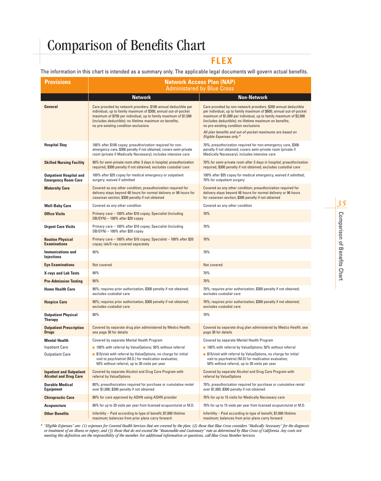#### **FLEX**

The information in this chart is intended as a summary only. The applicable legal documents will govern actual benefits.

| <b>Provisions</b>                                               | <b>Network Access Plan (NAP)</b>                                                                                                                                                                                                                                                                          |                                                                                                                                                                                                                                                                                                                                                                                                          |  |
|-----------------------------------------------------------------|-----------------------------------------------------------------------------------------------------------------------------------------------------------------------------------------------------------------------------------------------------------------------------------------------------------|----------------------------------------------------------------------------------------------------------------------------------------------------------------------------------------------------------------------------------------------------------------------------------------------------------------------------------------------------------------------------------------------------------|--|
|                                                                 | <b>Administered by Blue Cross</b>                                                                                                                                                                                                                                                                         |                                                                                                                                                                                                                                                                                                                                                                                                          |  |
|                                                                 | <b>Network</b>                                                                                                                                                                                                                                                                                            | <b>Non-Network</b>                                                                                                                                                                                                                                                                                                                                                                                       |  |
| <b>General</b>                                                  | Care provided by network providers. \$100 annual deductible per<br>individual, up to family maximum of \$300; annual out-of-pocket<br>maximum of \$750 per individual, up to family maximum of \$1,500<br>(includes deductible); no lifetime maximum on benefits;<br>no pre-existing condition exclusions | Care provided by non-network providers. \$200 annual deductible<br>per individual, up to family maximum of \$600; annual out-of-pocket<br>maximum of \$1,000 per individual, up to family maximum of \$2,000<br>(includes deductible); no lifetime maximum on benefits;<br>no pre-existing condition exclusions<br>All plan benefits and out-of-pocket maximums are based on<br>Eligible Expenses only.* |  |
| <b>Hospital Stay</b>                                            | 100% after \$100 copay; preauthorization required for non-<br>emergency care, \$300 penalty if not obtained; covers semi-private<br>room (private if Medically Necessary); includes intensive care                                                                                                        | 70%; preauthorization required for non-emergency care, \$300<br>penalty if not obtained; covers semi-private room (private if<br>Medically Necessary); includes intensive care                                                                                                                                                                                                                           |  |
| <b>Skilled Nursing Facility</b>                                 | 70% for semi-private room after 3 days in hospital; preauthorization<br>90% for semi-private room after 3 days in hospital; preauthorization<br>required, \$300 penalty if not obtained; excludes custodial care<br>required, \$300 penalty if not obtained; excludes custodial care                      |                                                                                                                                                                                                                                                                                                                                                                                                          |  |
| <b>Outpatient Hospital and</b><br><b>Emergency Room Care</b>    | 100% after \$35 copay for medical emergency or outpatient<br>surgery; waived if admitted                                                                                                                                                                                                                  | 100% after \$35 copay for medical emergency, waived if admitted;<br>70% for outpatient surgery                                                                                                                                                                                                                                                                                                           |  |
| <b>Maternity Care</b>                                           | Covered as any other condition; preauthorization required for<br>delivery stays beyond 48 hours for normal delivery or 96 hours for<br>cesarean section; \$300 penalty if not obtained                                                                                                                    | Covered as any other condition; preauthorization required for<br>delivery stays beyond 48 hours for normal delivery or 96 hours<br>for cesarean section; \$300 penalty if not obtained                                                                                                                                                                                                                   |  |
| <b>Well-Baby Care</b>                                           | Covered as any other condition                                                                                                                                                                                                                                                                            | Covered as any other condition                                                                                                                                                                                                                                                                                                                                                                           |  |
| <b>Office Visits</b>                                            | Primary care - 100% after \$10 copay; Specialist (including<br>0B/GYN) - 100% after \$20 copay                                                                                                                                                                                                            | 70%                                                                                                                                                                                                                                                                                                                                                                                                      |  |
| <b>Urgent Care Visits</b>                                       | Primary care - 100% after \$10 copay; Specialist (including<br>0B/GYN) - 100% after \$20 copay                                                                                                                                                                                                            | 70%                                                                                                                                                                                                                                                                                                                                                                                                      |  |
| <b>Routine Physical</b><br><b>Examinations</b>                  | Primary care - 100% after \$10 copay; Specialist - 100% after \$20<br>copay; lab/X-ray covered separately                                                                                                                                                                                                 | 70%                                                                                                                                                                                                                                                                                                                                                                                                      |  |
| <b>Immunizations and</b><br><b>Injections</b>                   | 95%                                                                                                                                                                                                                                                                                                       | 70%                                                                                                                                                                                                                                                                                                                                                                                                      |  |
| <b>Eye Examinations</b>                                         | Not covered                                                                                                                                                                                                                                                                                               | Not covered                                                                                                                                                                                                                                                                                                                                                                                              |  |
| <b>X-rays and Lab Tests</b>                                     | 90%                                                                                                                                                                                                                                                                                                       | 70%                                                                                                                                                                                                                                                                                                                                                                                                      |  |
| <b>Pre-Admission Testing</b>                                    | 95%                                                                                                                                                                                                                                                                                                       | 70%                                                                                                                                                                                                                                                                                                                                                                                                      |  |
| <b>Home Health Care</b>                                         | 90%; requires prior authorization, \$300 penalty if not obtained;<br>excludes custodial care                                                                                                                                                                                                              | 70%; requires prior authorization, \$300 penalty if not obtained;<br>excludes custodial care                                                                                                                                                                                                                                                                                                             |  |
| <b>Hospice Care</b>                                             | 90%; requires prior authorization, \$300 penalty if not obtained;<br>excludes custodial care                                                                                                                                                                                                              | 70%; requires prior authorization, \$300 penalty if not obtained;<br>excludes custodial care                                                                                                                                                                                                                                                                                                             |  |
| <b>Outpatient Physical</b><br><b>Therapy</b>                    | 80%                                                                                                                                                                                                                                                                                                       | 70%                                                                                                                                                                                                                                                                                                                                                                                                      |  |
| <b>Outpatient Prescription</b><br><b>Drugs</b>                  | Covered by separate drug plan administered by Medco Health;<br>see page 30 for details                                                                                                                                                                                                                    | Covered by separate drug plan administered by Medco Health; see<br>page 30 for details                                                                                                                                                                                                                                                                                                                   |  |
| <b>Mental Health</b>                                            | Covered by separate Mental Health Program                                                                                                                                                                                                                                                                 | Covered by separate Mental Health Program                                                                                                                                                                                                                                                                                                                                                                |  |
| <b>Inpatient Care</b>                                           | 100% with referral by ValueOptions; 50% without referral                                                                                                                                                                                                                                                  | 100% with referral by ValueOptions; 50% without referral                                                                                                                                                                                                                                                                                                                                                 |  |
| <b>Outpatient Care</b>                                          | Statistivity 15/visit with referral by ValueOptions, no charge for initial<br>visit to psychiatrist (M.D.) for medication evaluation;<br>50% without referral, up to 30 visits per year                                                                                                                   | States \$15/visit with referral by ValueOptions, no charge for initial<br>visit to psychiatrist (M.D) for medication evaluation;<br>50% without referral, up to 30 visits per year                                                                                                                                                                                                                       |  |
| <b>Inpatient and Outpatient</b><br><b>Alcohol and Drug Care</b> | Covered by separate Alcohol and Drug Care Program with<br>referral by ValueOptions                                                                                                                                                                                                                        | Covered by separate Alcohol and Drug Care Program with<br>referral by ValueOptions                                                                                                                                                                                                                                                                                                                       |  |
| <b>Durable Medical</b><br><b>Equipment</b>                      | 80%; preauthorization required for purchase or cumulative rental<br>over \$1,000; \$300 penalty if not obtained                                                                                                                                                                                           | 70%; preauthorization required for purchase or cumulative rental<br>over \$1,000; \$300 penalty if not obtained                                                                                                                                                                                                                                                                                          |  |
| <b>Chiropractic Care</b>                                        | 80% for care approved by ASHN using ASHN provider                                                                                                                                                                                                                                                         | 70% for up to 15 visits for Medically Necessary care                                                                                                                                                                                                                                                                                                                                                     |  |
| <b>Acupuncture</b>                                              | 80% for up to 20 visits per year from licensed acupuncturist or M.D.                                                                                                                                                                                                                                      | 70% for up to 15 visits per year from licensed acupuncturist or M.D.                                                                                                                                                                                                                                                                                                                                     |  |
| <b>Other Benefits</b>                                           | Infertility – Paid according to type of benefit; \$7,000 lifetime<br>maximum; balances from prior plans carry forward                                                                                                                                                                                     | Infertility – Paid according to type of benefit; \$7,000 lifetime<br>maximum; balances from prior plans carry forward                                                                                                                                                                                                                                                                                    |  |

*\* "Eligible Expenses" are: (1) expenses for Covered Health Services that are covered by the plan; (2) those that Blue Cross considers "Medically Necessary" for the diagnosis or treatment of an illness or injury; and (3) those that do not exceed the "Reasonable and Customary" rate as determined by Blue Cross of California. Any costs not meeting this definition are the responsibility of the member. For additional information or questions, call Blue Cross Member Services.*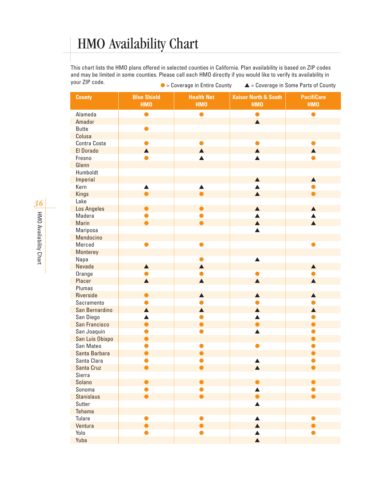This chart lists the HMO plans offered in selected counties in California. Plan availability is based on ZIP codes and may be limited in some counties. Please call each HMO directly if you would like to verify its availability in your ZIP code.  $\bullet$  = Coverage in Entire County  $\bullet$  = Coverage in Some Parts of County

| <b>County</b>      | <b>Blue Shield</b><br><b>HMO</b> | <b>Health Net</b><br><b>HMO</b> | <b>Kaiser North &amp; South</b><br><b>HMO</b> | <b>PacifiCare</b><br><b>HMO</b> |
|--------------------|----------------------------------|---------------------------------|-----------------------------------------------|---------------------------------|
| Alameda            | $\bullet$                        | $\bullet$                       | $\bullet$                                     | $\bullet$                       |
| Amador             |                                  |                                 | $\blacktriangle$                              |                                 |
| <b>Butte</b>       | O                                |                                 |                                               |                                 |
| Colusa             |                                  |                                 |                                               |                                 |
| Contra Costa       | O                                | O                               | $\bullet$                                     |                                 |
| <b>El Dorado</b>   | $\blacktriangle$                 | $\blacktriangle$                | $\blacktriangle$                              | ▲                               |
| Fresno             |                                  | $\blacktriangle$                | $\blacktriangle$                              |                                 |
| Glenn              |                                  |                                 |                                               |                                 |
| Humboldt           |                                  |                                 |                                               |                                 |
| Imperial           |                                  |                                 | $\blacktriangle$                              | $\blacktriangle$                |
| Kern               | ▲                                | ▲                               | ▲                                             |                                 |
| <b>Kings</b>       |                                  |                                 | $\blacktriangle$                              |                                 |
| Lake               |                                  |                                 |                                               |                                 |
| <b>Los Angeles</b> | C.                               | 0                               | $\blacktriangle$                              | $\blacktriangle$                |
| Madera             |                                  | $\bullet$                       | $\blacktriangle$                              | ▲                               |
| Marin              |                                  |                                 | $\blacktriangle$                              |                                 |
| Mariposa           |                                  |                                 | ▲                                             |                                 |
| <b>Mendocino</b>   |                                  |                                 |                                               |                                 |
| Merced             |                                  | O                               |                                               |                                 |
| Monterey           |                                  |                                 |                                               |                                 |
| Napa               |                                  | O                               | $\blacktriangle$                              |                                 |
| Nevada             | $\blacktriangle$                 | $\blacktriangle$                |                                               | $\blacktriangle$                |
| Orange             |                                  | O                               | O                                             |                                 |
| Placer             | $\blacktriangle$                 | $\blacktriangle$                | $\blacktriangle$                              | $\blacktriangle$                |
| Plumas             |                                  |                                 |                                               |                                 |
| Riverside          | C                                | $\blacktriangle$                | $\blacktriangle$                              | $\blacktriangle$                |
| Sacramento         |                                  | $\bullet$                       | O                                             |                                 |
| San Bernardino     | $\blacktriangle$                 | $\blacktriangle$                | $\blacktriangle$                              | $\blacktriangle$                |
| San Diego          | ▲                                | r i                             | ▲                                             |                                 |
| San Francisco      |                                  | $\bullet$                       |                                               |                                 |
| San Joaquin        |                                  | O                               | ▲                                             |                                 |
| San Luis Obispo    |                                  |                                 |                                               |                                 |
| San Mateo          |                                  |                                 |                                               |                                 |
| Santa Barbara      |                                  |                                 |                                               |                                 |
| Santa Clara        |                                  |                                 |                                               |                                 |
| Santa Cruz         |                                  |                                 | $\blacktriangle$                              |                                 |
| Sierra             |                                  |                                 |                                               |                                 |
| Solano             |                                  |                                 | œ                                             |                                 |
| Sonoma             |                                  |                                 |                                               |                                 |
| <b>Stanislaus</b>  |                                  |                                 |                                               |                                 |
| Sutter             |                                  |                                 |                                               |                                 |
| <b>Tehama</b>      |                                  |                                 |                                               |                                 |
| Tulare             |                                  |                                 |                                               |                                 |
| Ventura            |                                  |                                 | $\blacktriangle$                              |                                 |
| Yolo               |                                  | O                               | ▲                                             |                                 |
| Yuba               |                                  |                                 | $\blacktriangle$                              |                                 |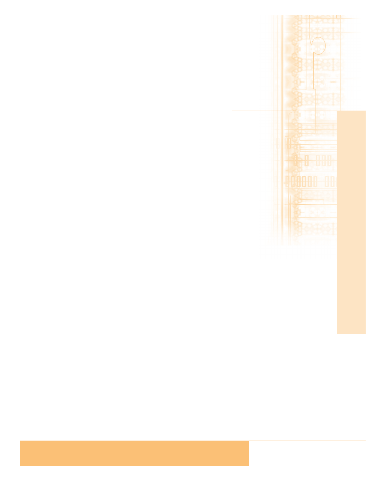